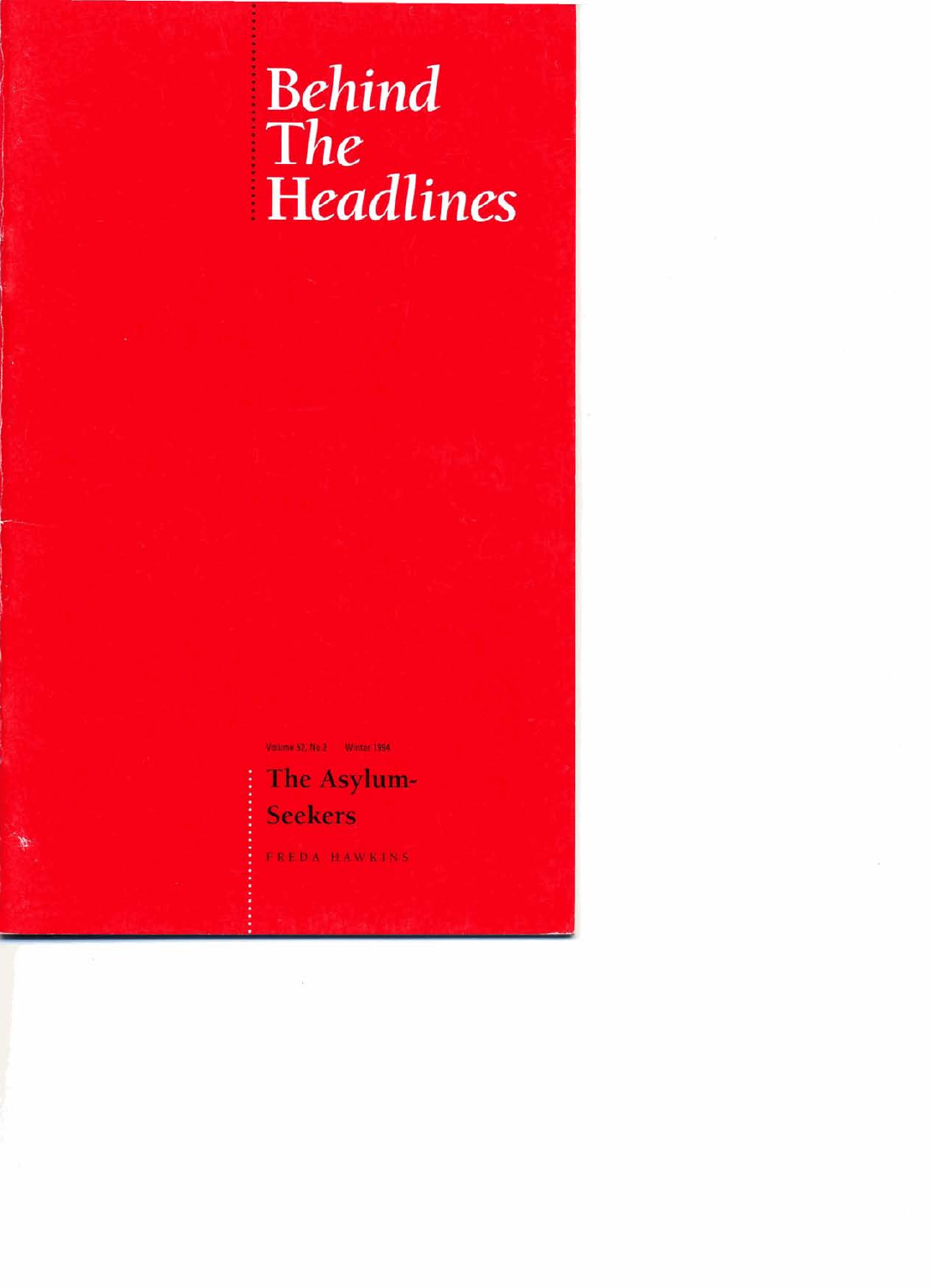# Behind<br>The ! **Headlines**

.

**Volmr 52 Na2 Wmr WI11** 

**The Asylum-Seekers** 

: **FREDA HAWKlNS**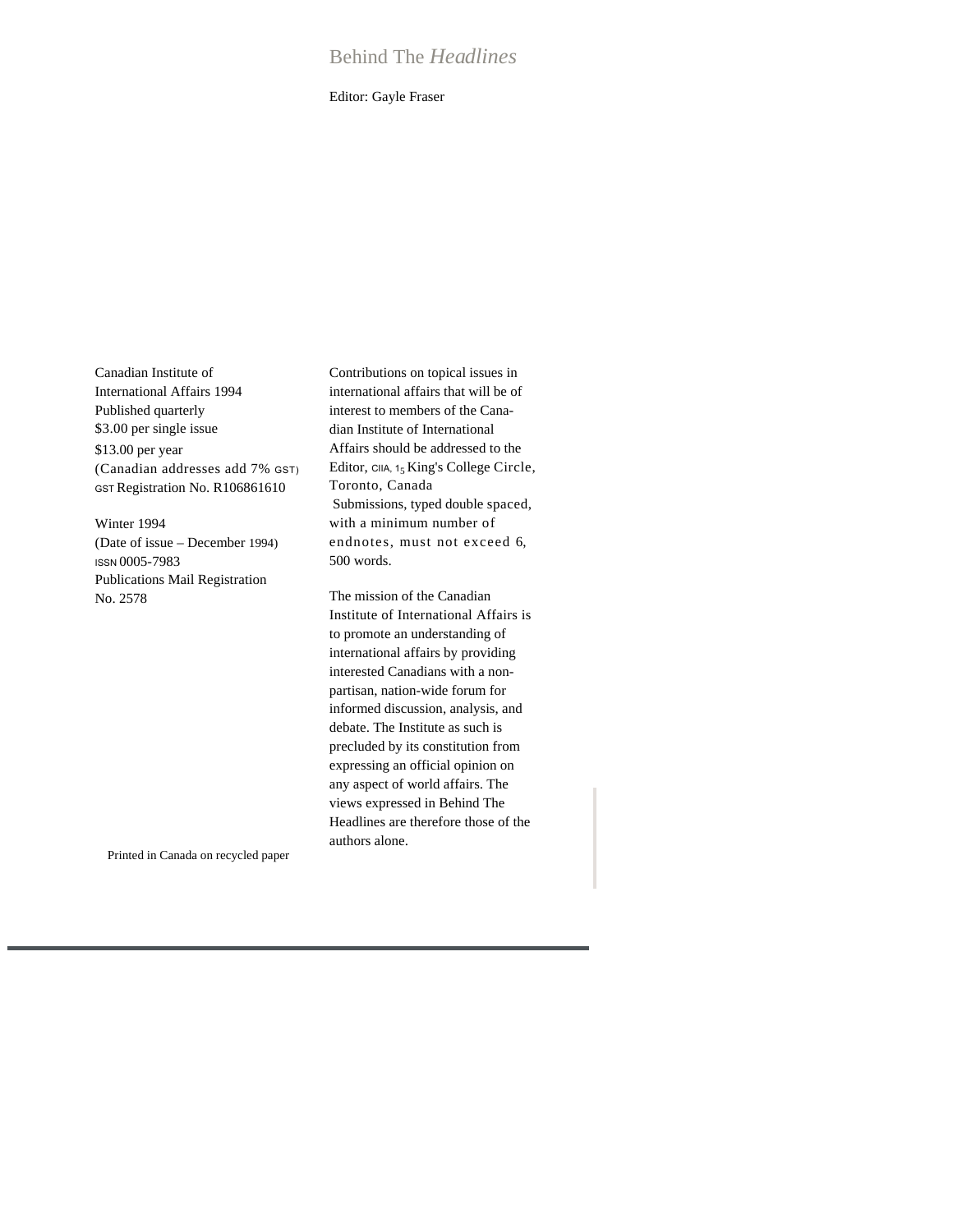# Behind The *Headlines*

Editor: Gayle Fraser

Canadian Institute of International Affairs 1994 Published quarterly \$3.00 per single issue \$13.00 per year (Canadian addresses add 7% GST) GST Registration No. R106861610

Winter 1994 (Date of issue – December 1994) ISSN 0005-7983 Publications Mail Registration No. 2578

Contributions on topical issues in international affairs that will be of interest to members of the Canadian Institute of International Affairs should be addressed to the Editor,  $C<sub>IIA</sub>, 1<sub>5</sub> King's College Circle,$ Toronto, Canada Submissions, typed double spaced, with a minimum number of endnotes, must not exceed 6, 500 words.

The mission of the Canadian Institute of International Affairs is to promote an understanding of international affairs by providing interested Canadians with a nonpartisan, nation-wide forum for informed discussion, analysis, and debate. The Institute as such is precluded by its constitution from expressing an official opinion on any aspect of world affairs. The views expressed in Behind The Headlines are therefore those of the authors alone.

Printed in Canada on recycled paper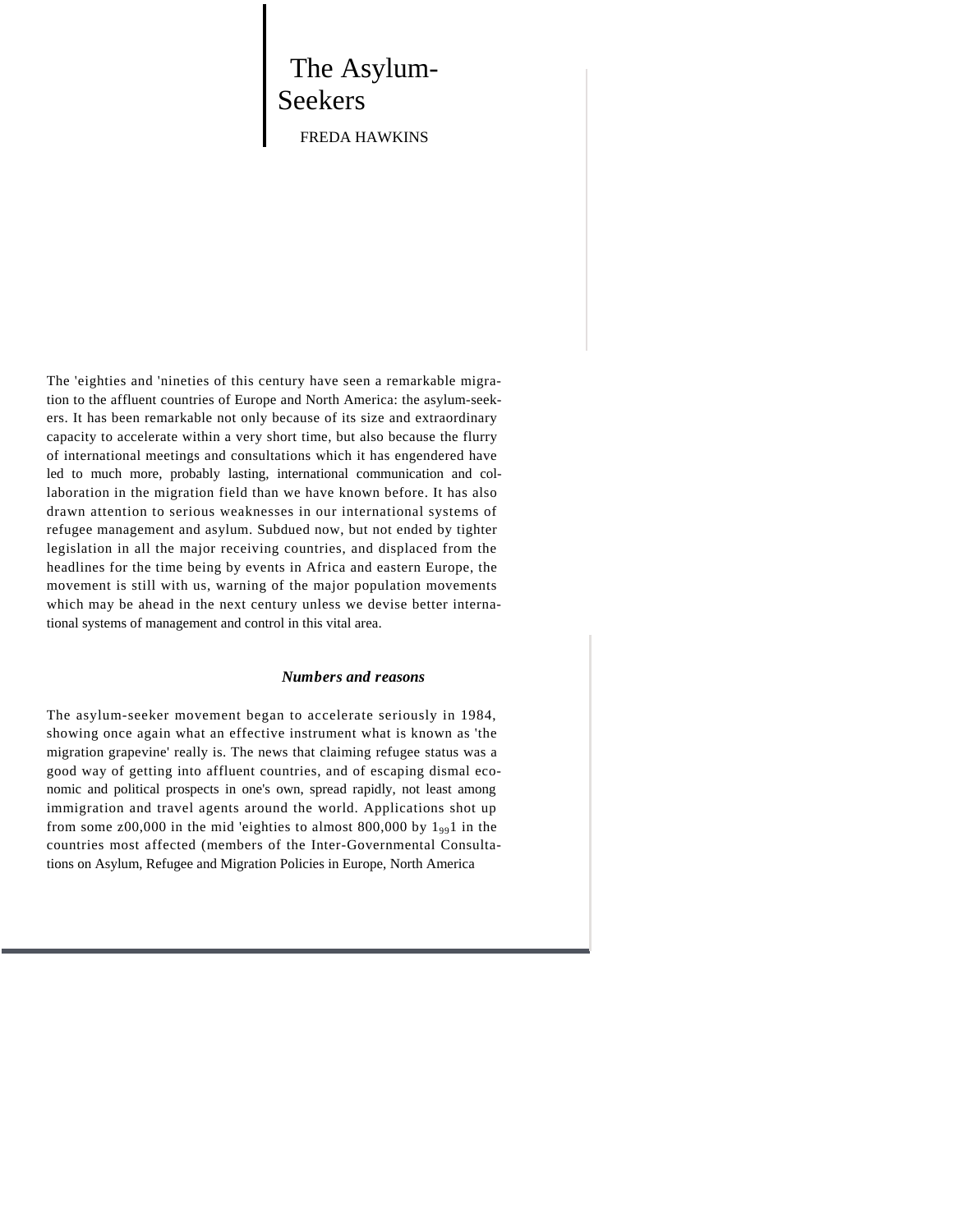# The Asylum-Seekers FREDA HAWKINS

The 'eighties and 'nineties of this century have seen a remarkable migration to the affluent countries of Europe and North America: the asylum-seekers. It has been remarkable not only because of its size and extraordinary capacity to accelerate within a very short time, but also because the flurry of international meetings and consultations which it has engendered have led to much more, probably lasting, international communication and collaboration in the migration field than we have known before. It has also drawn attention to serious weaknesses in our international systems of refugee management and asylum. Subdued now, but not ended by tighter legislation in all the major receiving countries, and displaced from the headlines for the time being by events in Africa and eastern Europe, the movement is still with us, warning of the major population movements which may be ahead in the next century unless we devise better international systems of management and control in this vital area.

#### *Numbers and reasons*

The asylum-seeker movement began to accelerate seriously in 1984, showing once again what an effective instrument what is known as 'the migration grapevine' really is. The news that claiming refugee status was a good way of getting into affluent countries, and of escaping dismal economic and political prospects in one's own, spread rapidly, not least among immigration and travel agents around the world. Applications shot up from some z00,000 in the mid 'eighties to almost 800,000 by  $1_{99}1$  in the countries most affected (members of the Inter-Governmental Consultations on Asylum, Refugee and Migration Policies in Europe, North America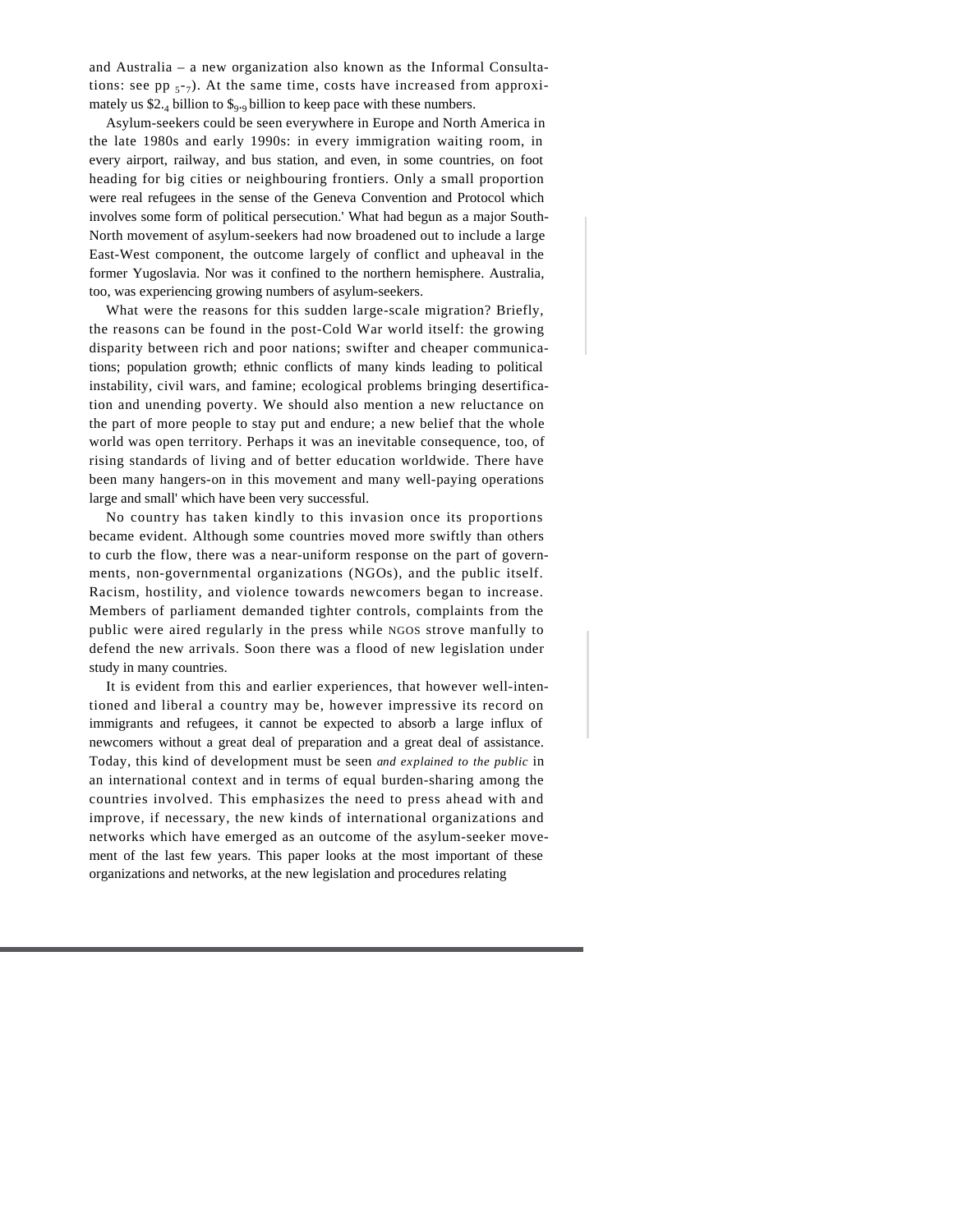and Australia – a new organization also known as the Informal Consultations: see pp  $_{57}$ ). At the same time, costs have increased from approximately us \$2.4 billion to \$9.9 billion to keep pace with these numbers.

Asylum-seekers could be seen everywhere in Europe and North America in the late 1980s and early 1990s: in every immigration waiting room, in every airport, railway, and bus station, and even, in some countries, on foot heading for big cities or neighbouring frontiers. Only a small proportion were real refugees in the sense of the Geneva Convention and Protocol which involves some form of political persecution.' What had begun as a major South-North movement of asylum-seekers had now broadened out to include a large East-West component, the outcome largely of conflict and upheaval in the former Yugoslavia. Nor was it confined to the northern hemisphere. Australia, too, was experiencing growing numbers of asylum-seekers.

What were the reasons for this sudden large-scale migration? Briefly, the reasons can be found in the post-Cold War world itself: the growing disparity between rich and poor nations; swifter and cheaper communications; population growth; ethnic conflicts of many kinds leading to political instability, civil wars, and famine; ecological problems bringing desertification and unending poverty. We should also mention a new reluctance on the part of more people to stay put and endure; a new belief that the whole world was open territory. Perhaps it was an inevitable consequence, too, of rising standards of living and of better education worldwide. There have been many hangers-on in this movement and many well-paying operations large and small' which have been very successful.

No country has taken kindly to this invasion once its proportions became evident. Although some countries moved more swiftly than others to curb the flow, there was a near-uniform response on the part of governments, non-governmental organizations (NGOs), and the public itself. Racism, hostility, and violence towards newcomers began to increase. Members of parliament demanded tighter controls, complaints from the public were aired regularly in the press while NGOS strove manfully to defend the new arrivals. Soon there was a flood of new legislation under study in many countries.

It is evident from this and earlier experiences, that however well-intentioned and liberal a country may be, however impressive its record on immigrants and refugees, it cannot be expected to absorb a large influx of newcomers without a great deal of preparation and a great deal of assistance. Today, this kind of development must be seen *and explained to the public* in an international context and in terms of equal burden-sharing among the countries involved. This emphasizes the need to press ahead with and improve, if necessary, the new kinds of international organizations and networks which have emerged as an outcome of the asylum-seeker movement of the last few years. This paper looks at the most important of these organizations and networks, at the new legislation and procedures relating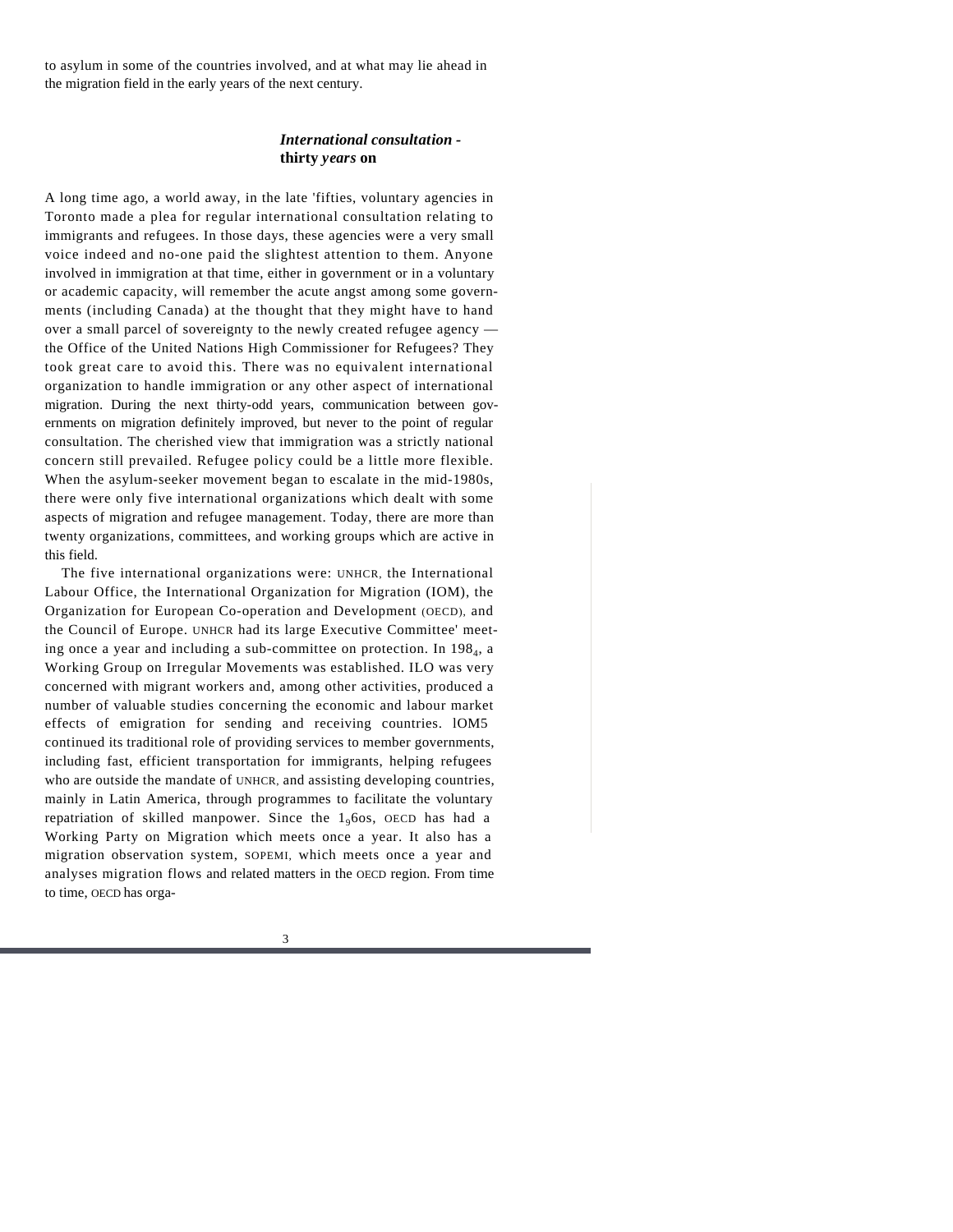to asylum in some of the countries involved, and at what may lie ahead in the migration field in the early years of the next century.

### *International consultation*  **thirty** *years* **on**

A long time ago, a world away, in the late 'fifties, voluntary agencies in Toronto made a plea for regular international consultation relating to immigrants and refugees. In those days, these agencies were a very small voice indeed and no-one paid the slightest attention to them. Anyone involved in immigration at that time, either in government or in a voluntary or academic capacity, will remember the acute angst among some governments (including Canada) at the thought that they might have to hand over a small parcel of sovereignty to the newly created refugee agency the Office of the United Nations High Commissioner for Refugees? They took great care to avoid this. There was no equivalent international organization to handle immigration or any other aspect of international migration. During the next thirty-odd years, communication between governments on migration definitely improved, but never to the point of regular consultation. The cherished view that immigration was a strictly national concern still prevailed. Refugee policy could be a little more flexible. When the asylum-seeker movement began to escalate in the mid-1980s, there were only five international organizations which dealt with some aspects of migration and refugee management. Today, there are more than twenty organizations, committees, and working groups which are active in this field.

The five international organizations were: UNHCR, the International Labour Office, the International Organization for Migration (IOM), the Organization for European Co-operation and Development (OECD), and the Council of Europe. UNHCR had its large Executive Committee' meeting once a year and including a sub-committee on protection. In 198<sub>4</sub>, a Working Group on Irregular Movements was established. ILO was very concerned with migrant workers and, among other activities, produced a number of valuable studies concerning the economic and labour market effects of emigration for sending and receiving countries. lOM5 continued its traditional role of providing services to member governments, including fast, efficient transportation for immigrants, helping refugees who are outside the mandate of UNHCR, and assisting developing countries, mainly in Latin America, through programmes to facilitate the voluntary repatriation of skilled manpower. Since the  $1<sub>9</sub>$  fos, OECD has had a Working Party on Migration which meets once a year. It also has a migration observation system, SOPEMI, which meets once a year and analyses migration flows and related matters in the OECD region. From time to time, OECD has orga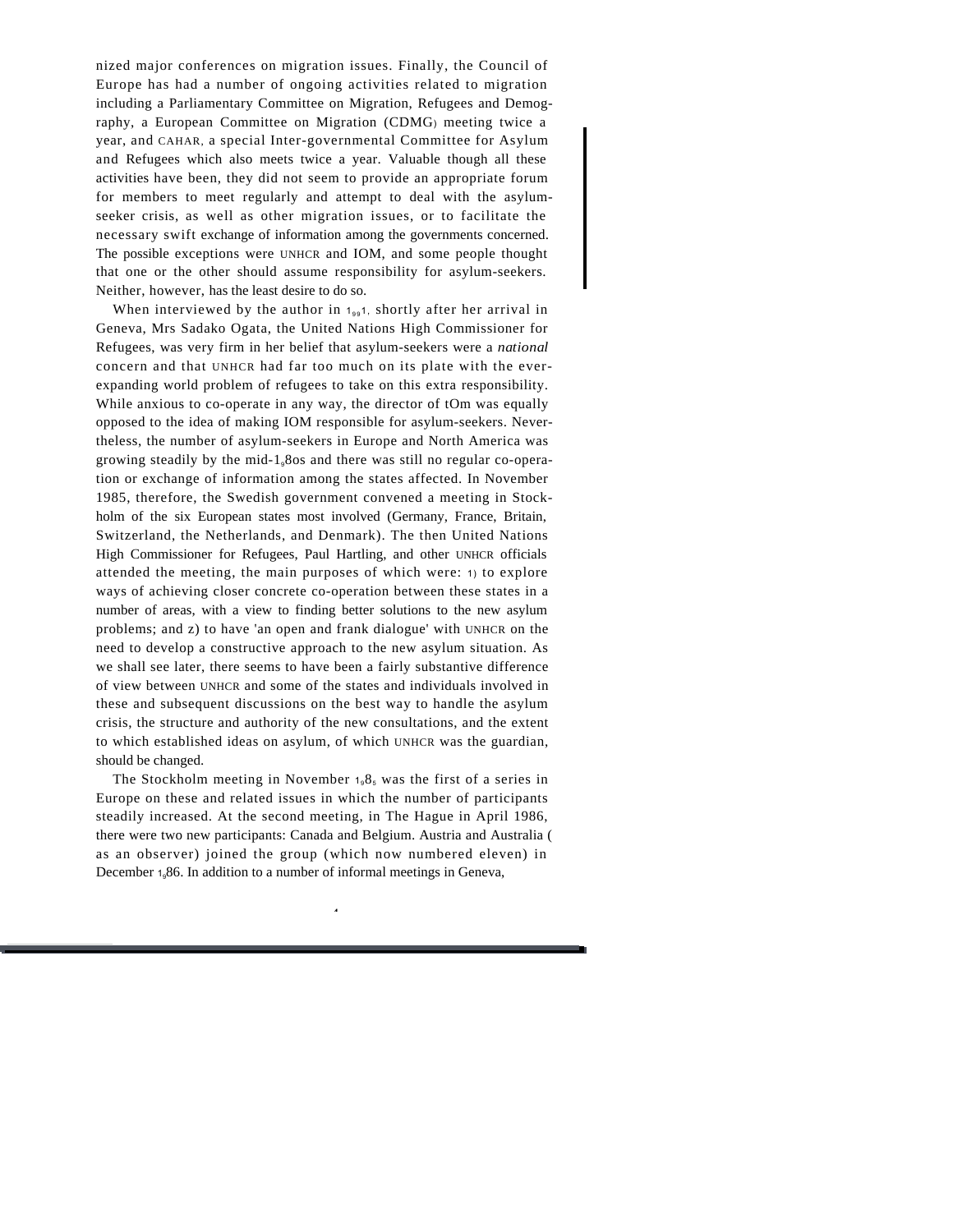nized major conferences on migration issues. Finally, the Council of Europe has had a number of ongoing activities related to migration including a Parliamentary Committee on Migration, Refugees and Demography, a European Committee on Migration (CDMG) meeting twice a year, and CAHAR, a special Inter-governmental Committee for Asylum and Refugees which also meets twice a year. Valuable though all these activities have been, they did not seem to provide an appropriate forum for members to meet regularly and attempt to deal with the asylumseeker crisis, as well as other migration issues, or to facilitate the necessary swift exchange of information among the governments concerned. The possible exceptions were UNHCR and IOM, and some people thought that one or the other should assume responsibility for asylum-seekers. Neither, however, has the least desire to do so.

When interviewed by the author in  $1_{99}$ 1, shortly after her arrival in Geneva, Mrs Sadako Ogata, the United Nations High Commissioner for Refugees, was very firm in her belief that asylum-seekers were a *national* concern and that UNHCR had far too much on its plate with the everexpanding world problem of refugees to take on this extra responsibility. While anxious to co-operate in any way, the director of tOm was equally opposed to the idea of making IOM responsible for asylum-seekers. Nevertheless, the number of asylum-seekers in Europe and North America was growing steadily by the mid-198os and there was still no regular co-operation or exchange of information among the states affected. In November 1985, therefore, the Swedish government convened a meeting in Stockholm of the six European states most involved (Germany, France, Britain, Switzerland, the Netherlands, and Denmark). The then United Nations High Commissioner for Refugees, Paul Hartling, and other UNHCR officials attended the meeting, the main purposes of which were: 1) to explore ways of achieving closer concrete co-operation between these states in a number of areas, with a view to finding better solutions to the new asylum problems; and z) to have 'an open and frank dialogue' with UNHCR on the need to develop a constructive approach to the new asylum situation. As we shall see later, there seems to have been a fairly substantive difference of view between UNHCR and some of the states and individuals involved in these and subsequent discussions on the best way to handle the asylum crisis, the structure and authority of the new consultations, and the extent to which established ideas on asylum, of which UNHCR was the guardian, should be changed.

The Stockholm meeting in November  $1.8<sub>5</sub>$  was the first of a series in Europe on these and related issues in which the number of participants steadily increased. At the second meeting, in The Hague in April 1986, there were two new participants: Canada and Belgium. Austria and Australia ( as an observer) joined the group (which now numbered eleven) in December 1.86. In addition to a number of informal meetings in Geneva,

4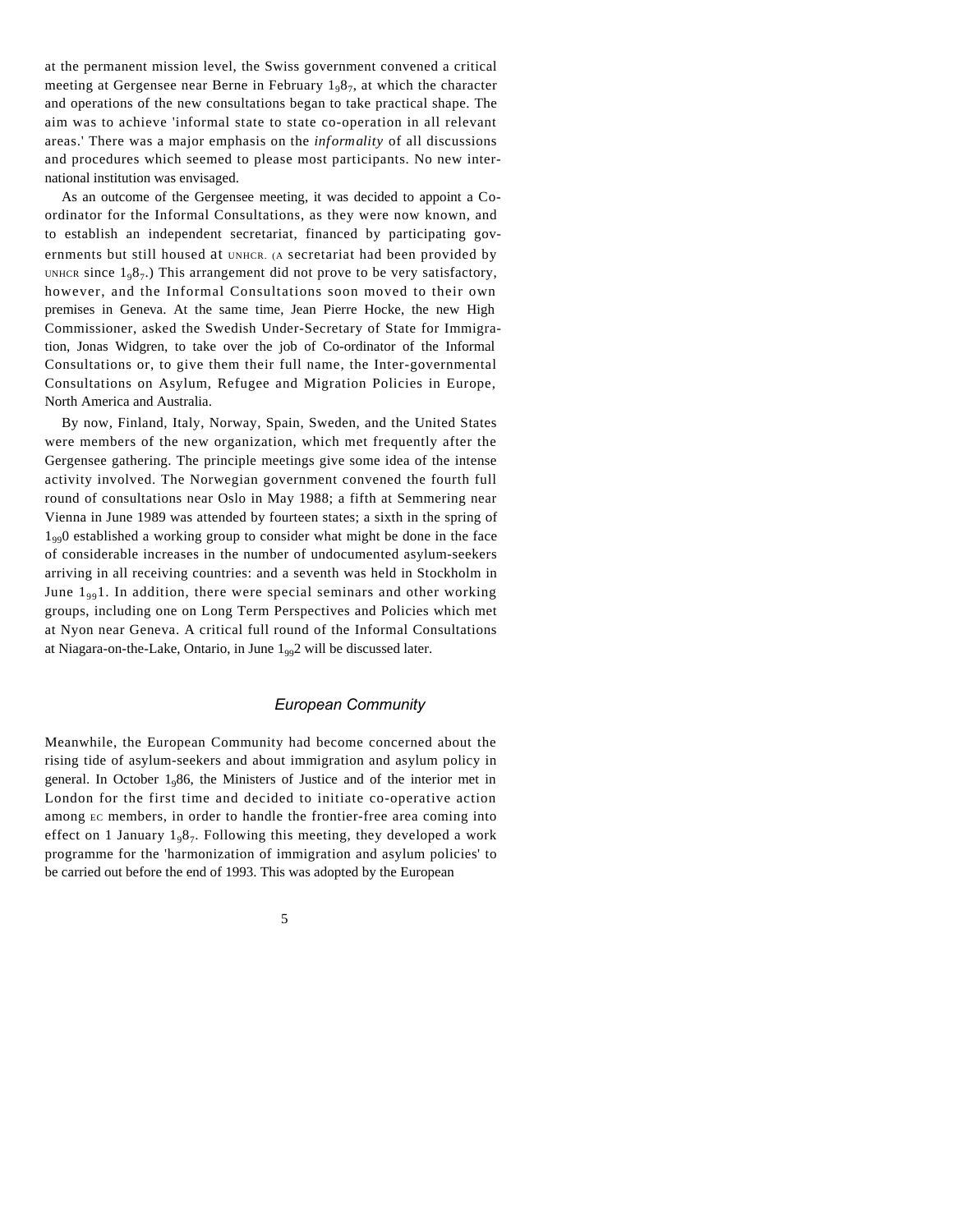at the permanent mission level, the Swiss government convened a critical meeting at Gergensee near Berne in February 1<sub>9</sub>8<sub>7</sub>, at which the character and operations of the new consultations began to take practical shape. The aim was to achieve 'informal state to state co-operation in all relevant areas.' There was a major emphasis on the *informality* of all discussions and procedures which seemed to please most participants. No new international institution was envisaged.

As an outcome of the Gergensee meeting, it was decided to appoint a Coordinator for the Informal Consultations, as they were now known, and to establish an independent secretariat, financed by participating governments but still housed at UNHCR. (A secretariat had been provided by UNHCR since  $1_98_7$ .) This arrangement did not prove to be very satisfactory, however, and the Informal Consultations soon moved to their own premises in Geneva. At the same time, Jean Pierre Hocke, the new High Commissioner, asked the Swedish Under-Secretary of State for Immigration, Jonas Widgren, to take over the job of Co-ordinator of the Informal Consultations or, to give them their full name, the Inter-governmental Consultations on Asylum, Refugee and Migration Policies in Europe, North America and Australia.

By now, Finland, Italy, Norway, Spain, Sweden, and the United States were members of the new organization, which met frequently after the Gergensee gathering. The principle meetings give some idea of the intense activity involved. The Norwegian government convened the fourth full round of consultations near Oslo in May 1988; a fifth at Semmering near Vienna in June 1989 was attended by fourteen states; a sixth in the spring of  $1_{99}$ O established a working group to consider what might be done in the face of considerable increases in the number of undocumented asylum-seekers arriving in all receiving countries: and a seventh was held in Stockholm in June  $1_{99}$ . In addition, there were special seminars and other working groups, including one on Long Term Perspectives and Policies which met at Nyon near Geneva. A critical full round of the Informal Consultations at Niagara-on-the-Lake, Ontario, in June  $1_{99}2$  will be discussed later.

#### *European Community*

Meanwhile, the European Community had become concerned about the rising tide of asylum-seekers and about immigration and asylum policy in general. In October  $1_986$ , the Ministers of Justice and of the interior met in London for the first time and decided to initiate co-operative action among EC members, in order to handle the frontier-free area coming into effect on 1 January  $1_98_7$ . Following this meeting, they developed a work programme for the 'harmonization of immigration and asylum policies' to be carried out before the end of 1993. This was adopted by the European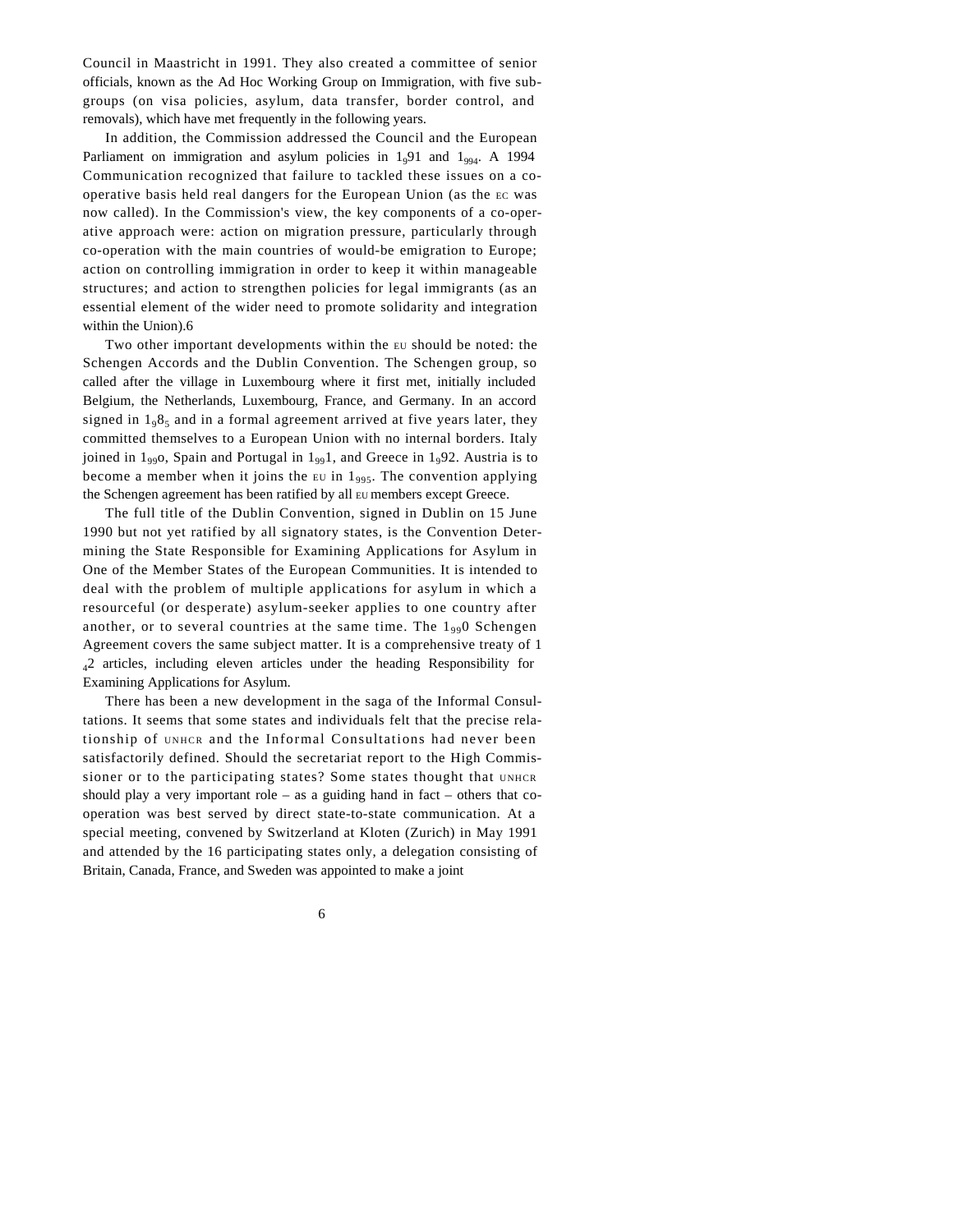Council in Maastricht in 1991. They also created a committee of senior officials, known as the Ad Hoc Working Group on Immigration, with five subgroups (on visa policies, asylum, data transfer, border control, and removals), which have met frequently in the following years.

In addition, the Commission addressed the Council and the European Parliament on immigration and asylum policies in  $1_9$ 91 and  $1_{994}$ . A 1994 Communication recognized that failure to tackled these issues on a cooperative basis held real dangers for the European Union (as the EC was now called). In the Commission's view, the key components of a co-operative approach were: action on migration pressure, particularly through co-operation with the main countries of would-be emigration to Europe; action on controlling immigration in order to keep it within manageable structures; and action to strengthen policies for legal immigrants (as an essential element of the wider need to promote solidarity and integration within the Union).6

Two other important developments within the EU should be noted: the Schengen Accords and the Dublin Convention. The Schengen group, so called after the village in Luxembourg where it first met, initially included Belgium, the Netherlands, Luxembourg, France, and Germany. In an accord signed in  $1_08_5$  and in a formal agreement arrived at five years later, they committed themselves to a European Union with no internal borders. Italy joined in  $1_{99}$ O, Spain and Portugal in  $1_{99}$ 1, and Greece in  $1_{9}$ 92. Austria is to become a member when it joins the EU in  $1_{995}$ . The convention applying the Schengen agreement has been ratified by all EU members except Greece.

The full title of the Dublin Convention, signed in Dublin on 15 June 1990 but not yet ratified by all signatory states, is the Convention Determining the State Responsible for Examining Applications for Asylum in One of the Member States of the European Communities. It is intended to deal with the problem of multiple applications for asylum in which a resourceful (or desperate) asylum-seeker applies to one country after another, or to several countries at the same time. The  $1_{99}$  Schengen Agreement covers the same subject matter. It is a comprehensive treaty of 1 <sup>4</sup>2 articles, including eleven articles under the heading Responsibility for Examining Applications for Asylum.

There has been a new development in the saga of the Informal Consultations. It seems that some states and individuals felt that the precise relationship of UNHCR and the Informal Consultations had never been satisfactorily defined. Should the secretariat report to the High Commissioner or to the participating states? Some states thought that UNHCR should play a very important role – as a guiding hand in fact – others that  $\infty$ operation was best served by direct state-to-state communication. At a special meeting, convened by Switzerland at Kloten (Zurich) in May 1991 and attended by the 16 participating states only, a delegation consisting of Britain, Canada, France, and Sweden was appointed to make a joint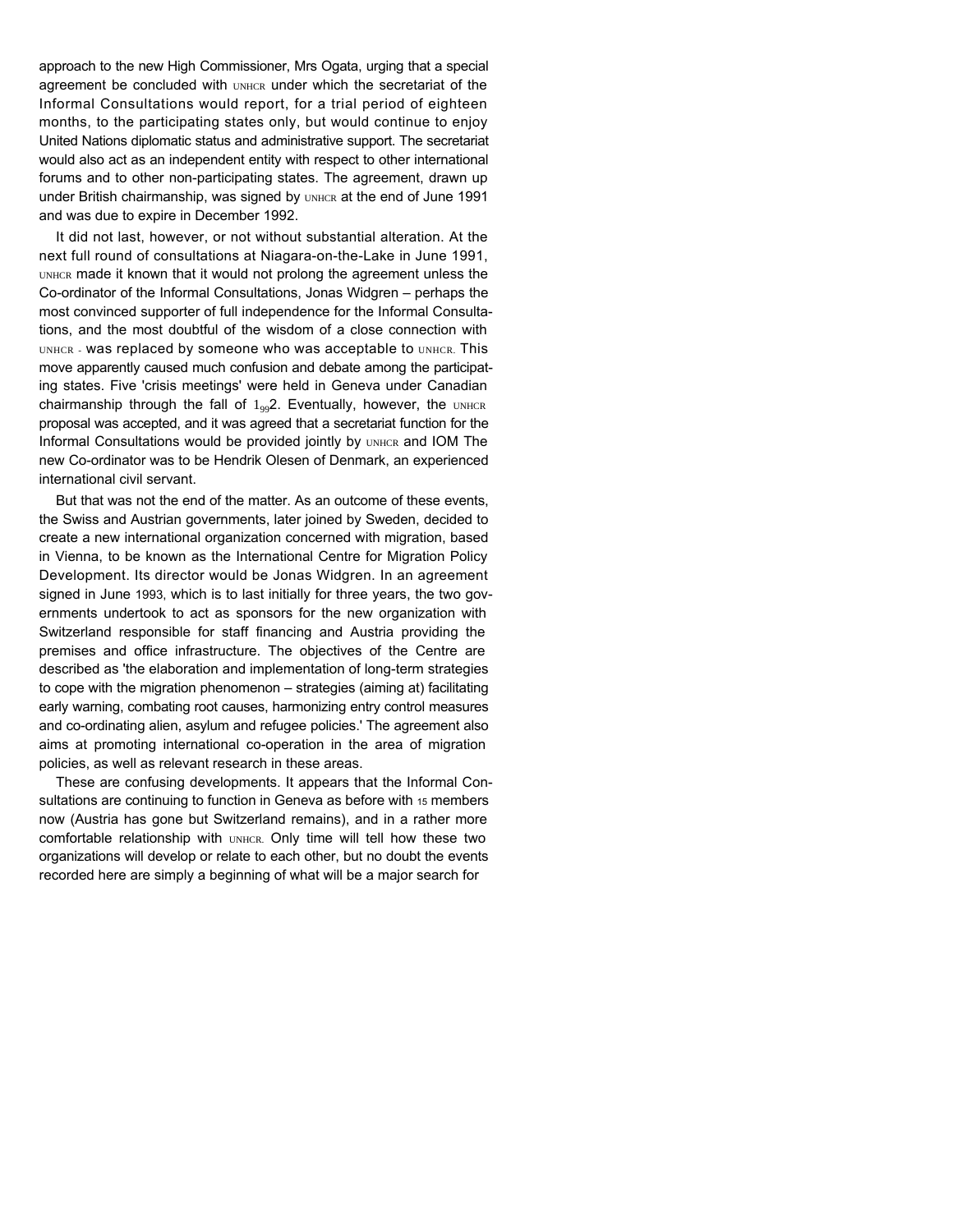approach to the new High Commissioner, Mrs Ogata, urging that a special agreement be concluded with UNHCR under which the secretariat of the Informal Consultations would report, for a trial period of eighteen months, to the participating states only, but would continue to enjoy United Nations diplomatic status and administrative support. The secretariat would also act as an independent entity with respect to other international forums and to other non-participating states. The agreement, drawn up under British chairmanship, was signed by UNHCR at the end of June 1991 and was due to expire in December 1992.

It did not last, however, or not without substantial alteration. At the next full round of consultations at Niagara-on-the-Lake in June 1991, UNHCR made it known that it would not prolong the agreement unless the Co-ordinator of the Informal Consultations, Jonas Widgren – perhaps the most convinced supporter of full independence for the Informal Consultations, and the most doubtful of the wisdom of a close connection with UNHCR - Was replaced by someone who was acceptable to UNHCR. This move apparently caused much confusion and debate among the participating states. Five 'crisis meetings' were held in Geneva under Canadian chairmanship through the fall of  $1_{99}$ 2. Eventually, however, the UNHCR proposal was accepted, and it was agreed that a secretariat function for the Informal Consultations would be provided jointly by UNHCR and IOM The new Co-ordinator was to be Hendrik Olesen of Denmark, an experienced international civil servant.

But that was not the end of the matter. As an outcome of these events, the Swiss and Austrian governments, later joined by Sweden, decided to create a new international organization concerned with migration, based in Vienna, to be known as the International Centre for Migration Policy Development. Its director would be Jonas Widgren. In an agreement signed in June 1993, which is to last initially for three years, the two governments undertook to act as sponsors for the new organization with Switzerland responsible for staff financing and Austria providing the premises and office infrastructure. The objectives of the Centre are described as 'the elaboration and implementation of long-term strategies to cope with the migration phenomenon – strategies (aiming at) facilitating early warning, combating root causes, harmonizing entry control measures and co-ordinating alien, asylum and refugee policies.' The agreement also aims at promoting international co-operation in the area of migration policies, as well as relevant research in these areas.

These are confusing developments. It appears that the Informal Consultations are continuing to function in Geneva as before with 15 members now (Austria has gone but Switzerland remains), and in a rather more comfortable relationship with UNHCR. Only time will tell how these two organizations will develop or relate to each other, but no doubt the events recorded here are simply a beginning of what will be a major search for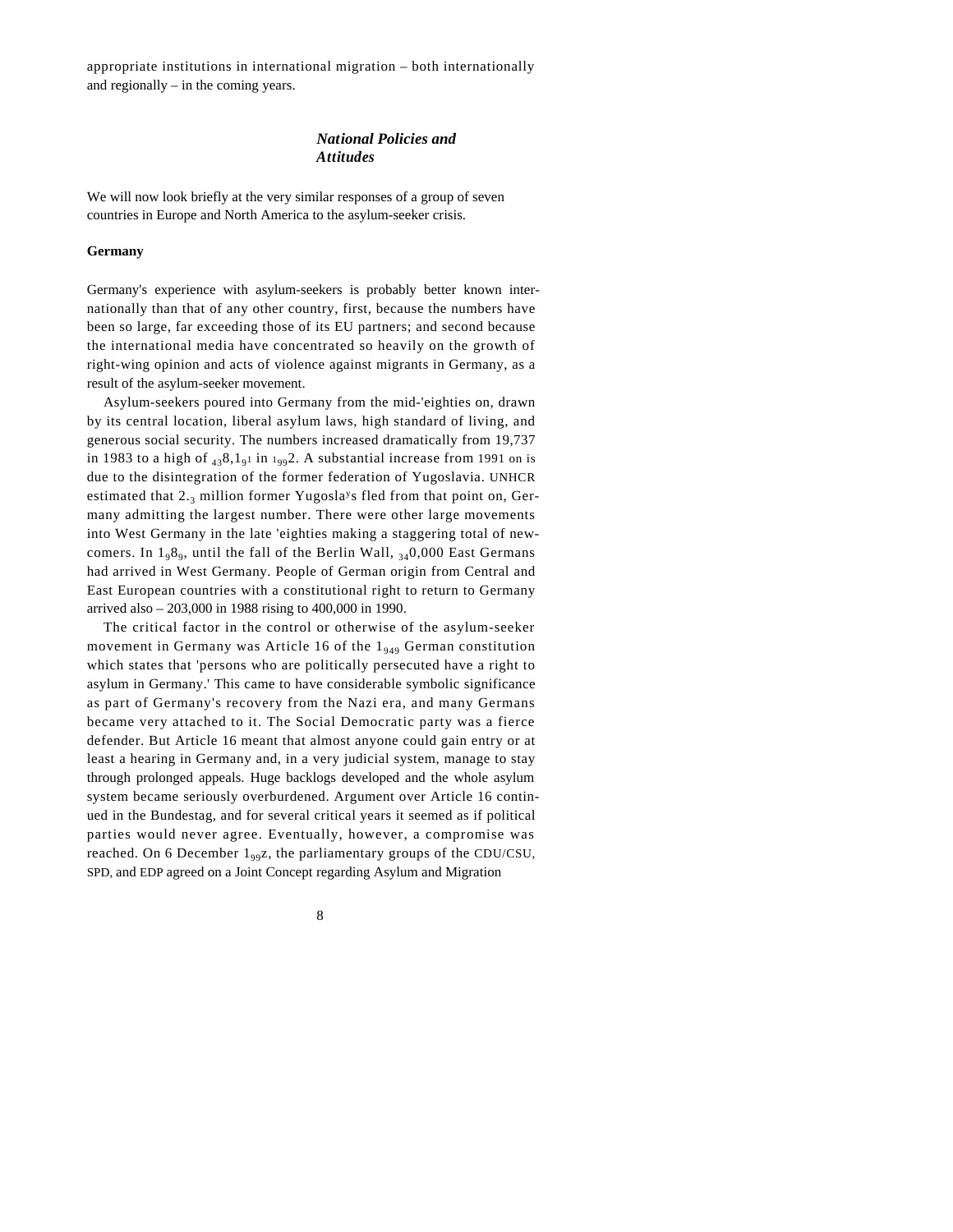appropriate institutions in international migration – both internationally and regionally – in the coming years.

## *National Policies and Attitudes*

We will now look briefly at the very similar responses of a group of seven countries in Europe and North America to the asylum-seeker crisis.

#### **Germany**

Germany's experience with asylum-seekers is probably better known internationally than that of any other country, first, because the numbers have been so large, far exceeding those of its EU partners; and second because the international media have concentrated so heavily on the growth of right-wing opinion and acts of violence against migrants in Germany, as a result of the asylum-seeker movement.

Asylum-seekers poured into Germany from the mid-'eighties on, drawn by its central location, liberal asylum laws, high standard of living, and generous social security. The numbers increased dramatically from 19,737 in 1983 to a high of  $_{43}8,1_{9}1$  in  $_{199}2$ . A substantial increase from 1991 on is due to the disintegration of the former federation of Yugoslavia. UNHCR estimated that 2.3 million former Yugosla<sup>y</sup>s fled from that point on, Germany admitting the largest number. There were other large movements into West Germany in the late 'eighties making a staggering total of newcomers. In  $1_98_9$ , until the fall of the Berlin Wall,  $_{34}0,000$  East Germans had arrived in West Germany. People of German origin from Central and East European countries with a constitutional right to return to Germany arrived also – 203,000 in 1988 rising to 400,000 in 1990.

The critical factor in the control or otherwise of the asylum-seeker movement in Germany was Article 16 of the  $1_{949}$  German constitution which states that 'persons who are politically persecuted have a right to asylum in Germany.' This came to have considerable symbolic significance as part of Germany's recovery from the Nazi era, and many Germans became very attached to it. The Social Democratic party was a fierce defender. But Article 16 meant that almost anyone could gain entry or at least a hearing in Germany and, in a very judicial system, manage to stay through prolonged appeals. Huge backlogs developed and the whole asylum system became seriously overburdened. Argument over Article 16 continued in the Bundestag, and for several critical years it seemed as if political parties would never agree. Eventually, however, a compromise was reached. On 6 December  $1_{99}z$ , the parliamentary groups of the CDU/CSU, SPD, and EDP agreed on a Joint Concept regarding Asylum and Migration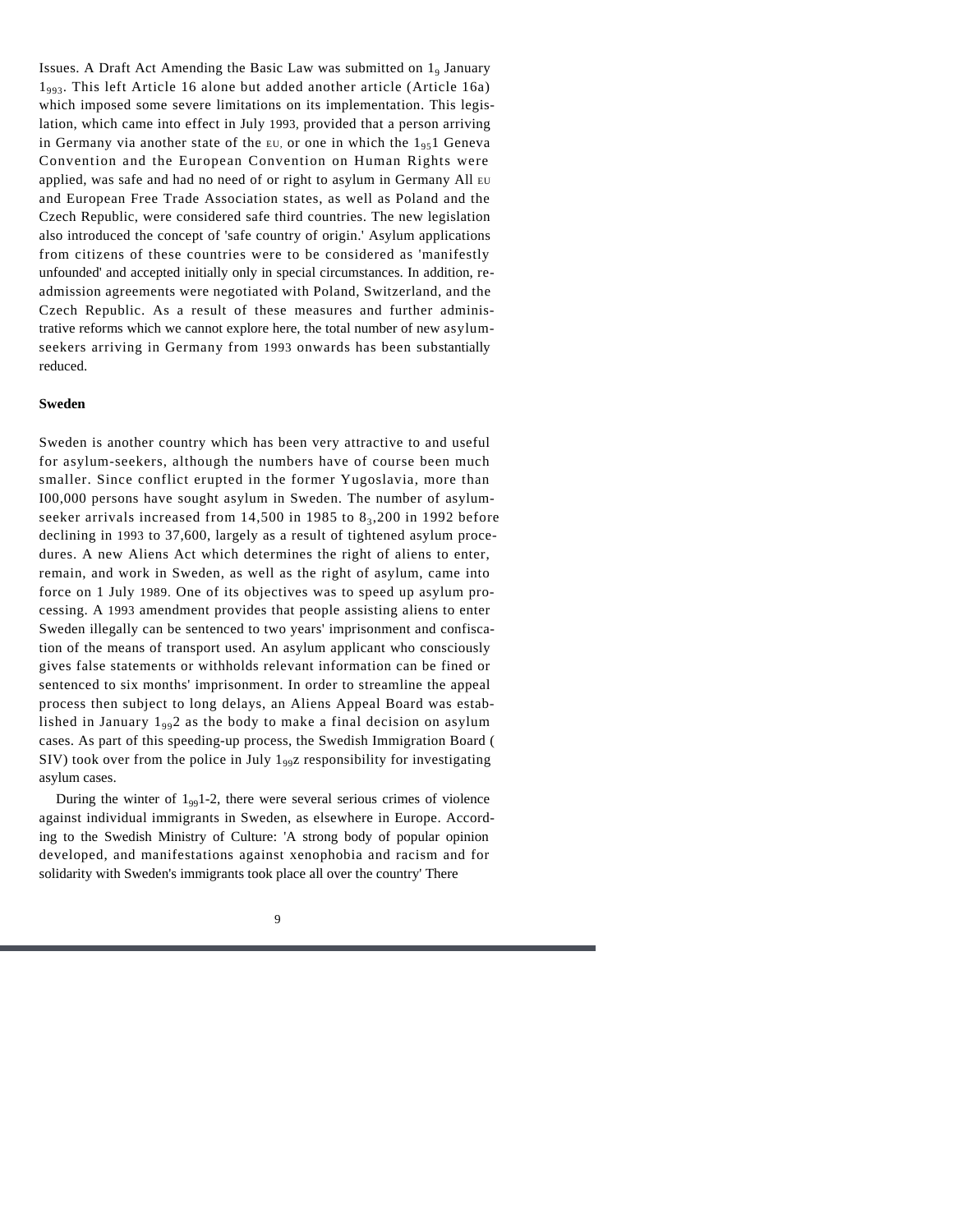Issues. A Draft Act Amending the Basic Law was submitted on  $1<sub>9</sub>$  January  $1_{0.93}$ . This left Article 16 alone but added another article (Article 16a) which imposed some severe limitations on its implementation. This legislation, which came into effect in July 1993, provided that a person arriving in Germany via another state of the EU, or one in which the  $1_{95}$  Geneva Convention and the European Convention on Human Rights were applied, was safe and had no need of or right to asylum in Germany All EU and European Free Trade Association states, as well as Poland and the Czech Republic, were considered safe third countries. The new legislation also introduced the concept of 'safe country of origin.' Asylum applications from citizens of these countries were to be considered as 'manifestly unfounded' and accepted initially only in special circumstances. In addition, readmission agreements were negotiated with Poland, Switzerland, and the Czech Republic. As a result of these measures and further administrative reforms which we cannot explore here, the total number of new asylumseekers arriving in Germany from 1993 onwards has been substantially reduced.

#### **Sweden**

Sweden is another country which has been very attractive to and useful for asylum-seekers, although the numbers have of course been much smaller. Since conflict erupted in the former Yugoslavia, more than I00,000 persons have sought asylum in Sweden. The number of asylumseeker arrivals increased from  $14,500$  in 1985 to  $8<sub>3</sub>,200$  in 1992 before declining in 1993 to 37,600, largely as a result of tightened asylum procedures. A new Aliens Act which determines the right of aliens to enter, remain, and work in Sweden, as well as the right of asylum, came into force on 1 July 1989. One of its objectives was to speed up asylum processing. A 1993 amendment provides that people assisting aliens to enter Sweden illegally can be sentenced to two years' imprisonment and confiscation of the means of transport used. An asylum applicant who consciously gives false statements or withholds relevant information can be fined or sentenced to six months' imprisonment. In order to streamline the appeal process then subject to long delays, an Aliens Appeal Board was established in January  $1_{99}2$  as the body to make a final decision on asylum cases. As part of this speeding-up process, the Swedish Immigration Board ( SIV) took over from the police in July  $1_{99}z$  responsibility for investigating asylum cases.

During the winter of  $1_{99}$ 1-2, there were several serious crimes of violence against individual immigrants in Sweden, as elsewhere in Europe. According to the Swedish Ministry of Culture: 'A strong body of popular opinion developed, and manifestations against xenophobia and racism and for solidarity with Sweden's immigrants took place all over the country' There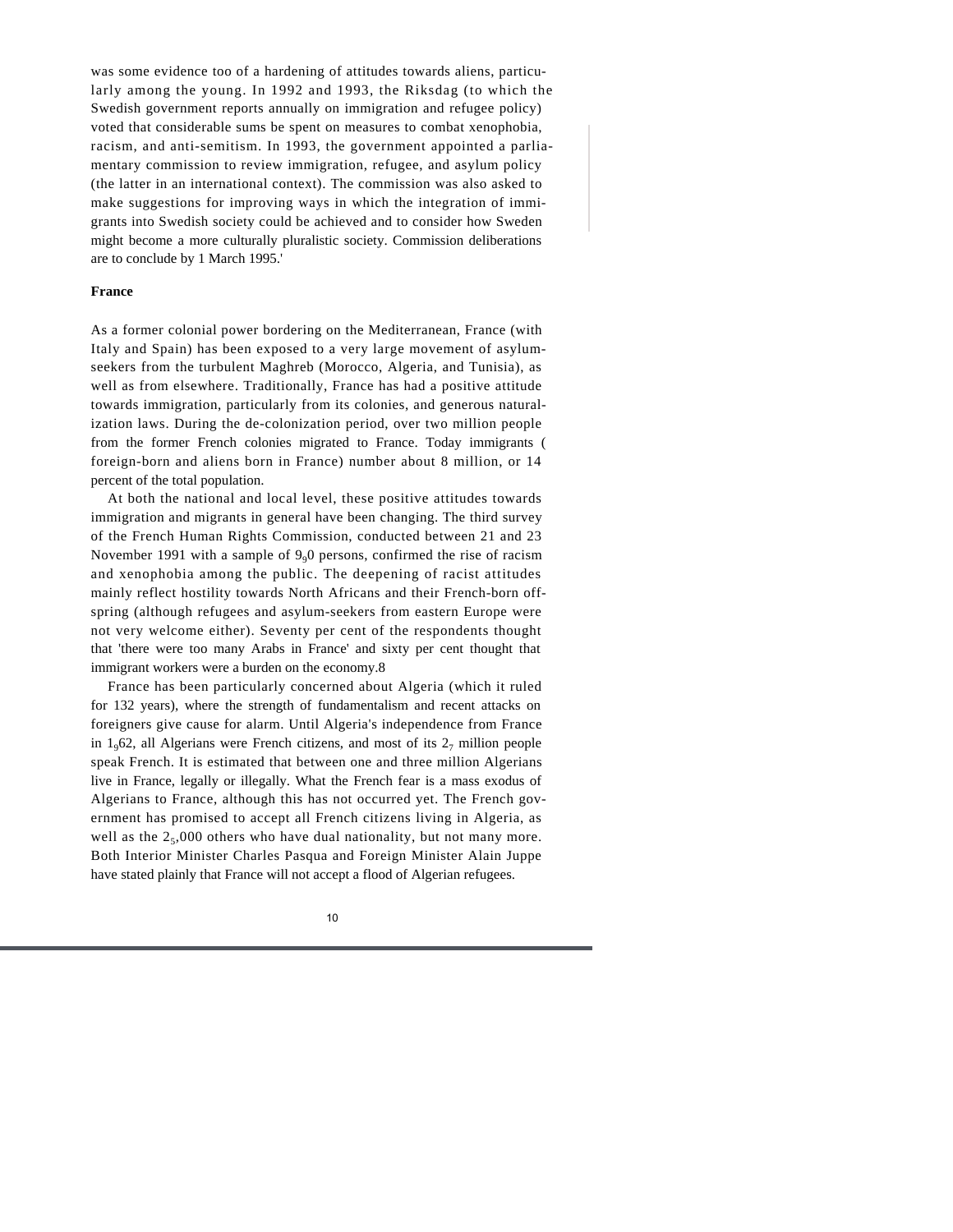was some evidence too of a hardening of attitudes towards aliens, particularly among the young. In 1992 and 1993, the Riksdag (to which the Swedish government reports annually on immigration and refugee policy) voted that considerable sums be spent on measures to combat xenophobia, racism, and anti-semitism. In 1993, the government appointed a parliamentary commission to review immigration, refugee, and asylum policy (the latter in an international context). The commission was also asked to make suggestions for improving ways in which the integration of immigrants into Swedish society could be achieved and to consider how Sweden might become a more culturally pluralistic society. Commission deliberations are to conclude by 1 March 1995.'

#### **France**

As a former colonial power bordering on the Mediterranean, France (with Italy and Spain) has been exposed to a very large movement of asylumseekers from the turbulent Maghreb (Morocco, Algeria, and Tunisia), as well as from elsewhere. Traditionally, France has had a positive attitude towards immigration, particularly from its colonies, and generous naturalization laws. During the de-colonization period, over two million people from the former French colonies migrated to France. Today immigrants ( foreign-born and aliens born in France) number about 8 million, or 14 percent of the total population.

At both the national and local level, these positive attitudes towards immigration and migrants in general have been changing. The third survey of the French Human Rights Commission, conducted between 21 and 23 November 1991 with a sample of  $9<sub>9</sub>0$  persons, confirmed the rise of racism and xenophobia among the public. The deepening of racist attitudes mainly reflect hostility towards North Africans and their French-born offspring (although refugees and asylum-seekers from eastern Europe were not very welcome either). Seventy per cent of the respondents thought that 'there were too many Arabs in France' and sixty per cent thought that immigrant workers were a burden on the economy.8

France has been particularly concerned about Algeria (which it ruled for 132 years), where the strength of fundamentalism and recent attacks on foreigners give cause for alarm. Until Algeria's independence from France in  $1_962$ , all Algerians were French citizens, and most of its  $2_7$  million people speak French. It is estimated that between one and three million Algerians live in France, legally or illegally. What the French fear is a mass exodus of Algerians to France, although this has not occurred yet. The French government has promised to accept all French citizens living in Algeria, as well as the  $2<sub>5</sub>$ ,000 others who have dual nationality, but not many more. Both Interior Minister Charles Pasqua and Foreign Minister Alain Juppe have stated plainly that France will not accept a flood of Algerian refugees.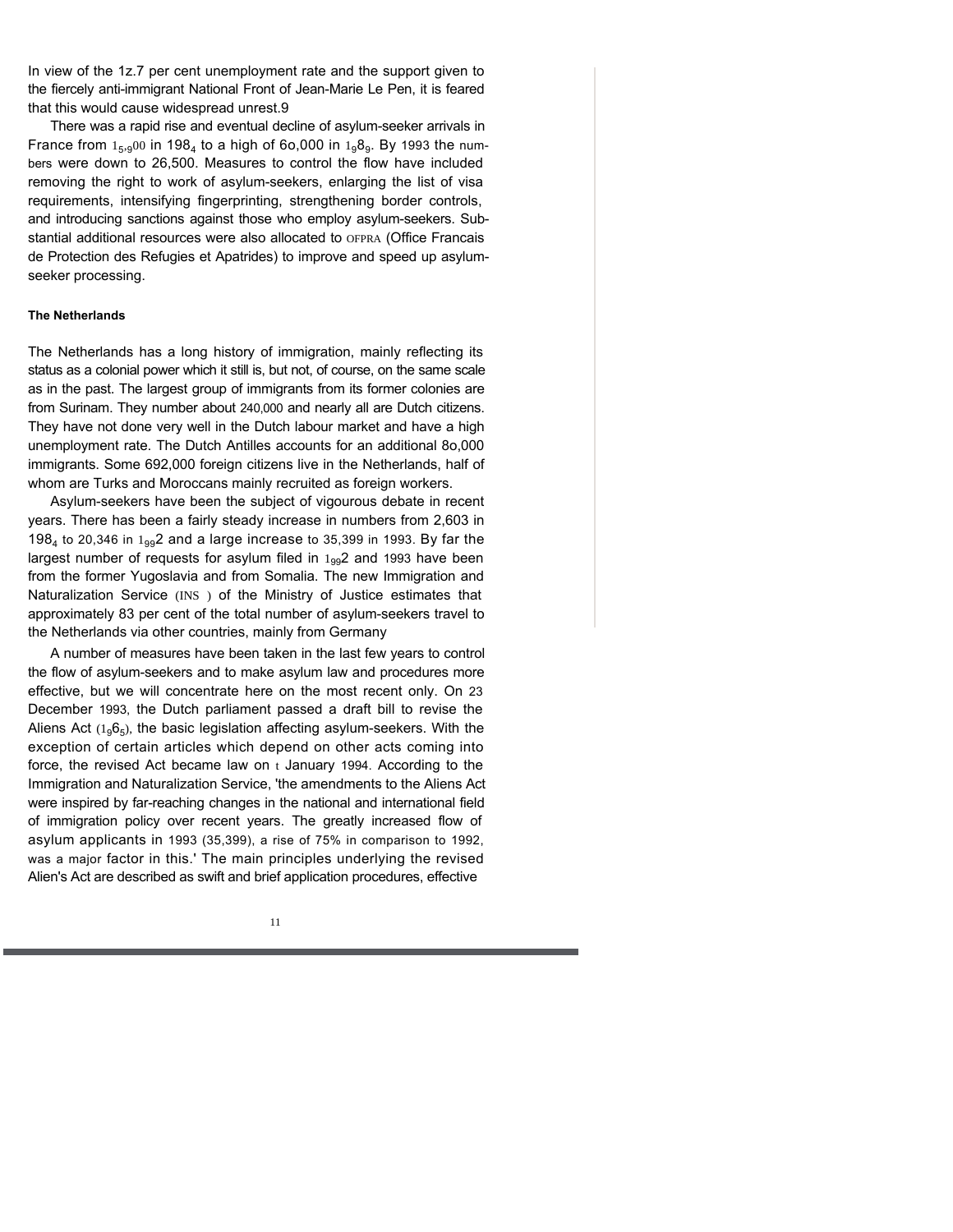In view of the 1z.7 per cent unemployment rate and the support given to the fiercely anti-immigrant National Front of Jean-Marie Le Pen, it is feared that this would cause widespread unrest.9

There was a rapid rise and eventual decline of asylum-seeker arrivals in France from  $1_{5,9}$ 00 in 198<sub>4</sub> to a high of 6o,000 in  $1_{9}8_{9}$ . By 1993 the numbers were down to 26,500. Measures to control the flow have included removing the right to work of asylum-seekers, enlarging the list of visa requirements, intensifying fingerprinting, strengthening border controls, and introducing sanctions against those who employ asylum-seekers. Substantial additional resources were also allocated to OFPRA (Office Francais de Protection des Refugies et Apatrides) to improve and speed up asylumseeker processing.

#### **The Netherlands**

The Netherlands has a long history of immigration, mainly reflecting its status as a colonial power which it still is, but not, of course, on the same scale as in the past. The largest group of immigrants from its former colonies are from Surinam. They number about 240,000 and nearly all are Dutch citizens. They have not done very well in the Dutch labour market and have a high unemployment rate. The Dutch Antilles accounts for an additional 8o,000 immigrants. Some 692,000 foreign citizens live in the Netherlands, half of whom are Turks and Moroccans mainly recruited as foreign workers.

Asylum-seekers have been the subject of vigourous debate in recent years. There has been a fairly steady increase in numbers from 2,603 in 198<sub>4</sub> to 20,346 in  $1_{99}$ 2 and a large increase to 35,399 in 1993. By far the largest number of requests for asylum filed in  $1_{99}$ 2 and 1993 have been from the former Yugoslavia and from Somalia. The new Immigration and Naturalization Service (INS ) of the Ministry of Justice estimates that approximately 83 per cent of the total number of asylum-seekers travel to the Netherlands via other countries, mainly from Germany

A number of measures have been taken in the last few years to control the flow of asylum-seekers and to make asylum law and procedures more effective, but we will concentrate here on the most recent only. On 23 December 1993, the Dutch parliament passed a draft bill to revise the Aliens Act  $(1_96_5)$ , the basic legislation affecting asylum-seekers. With the exception of certain articles which depend on other acts coming into force, the revised Act became law on  $t$  January 1994. According to the Immigration and Naturalization Service, 'the amendments to the Aliens Act were inspired by far-reaching changes in the national and international field of immigration policy over recent years. The greatly increased flow of asylum applicants in 1993 (35,399), a rise of 75% in comparison to 1992, was a major factor in this.' The main principles underlying the revised Alien's Act are described as swift and brief application procedures, effective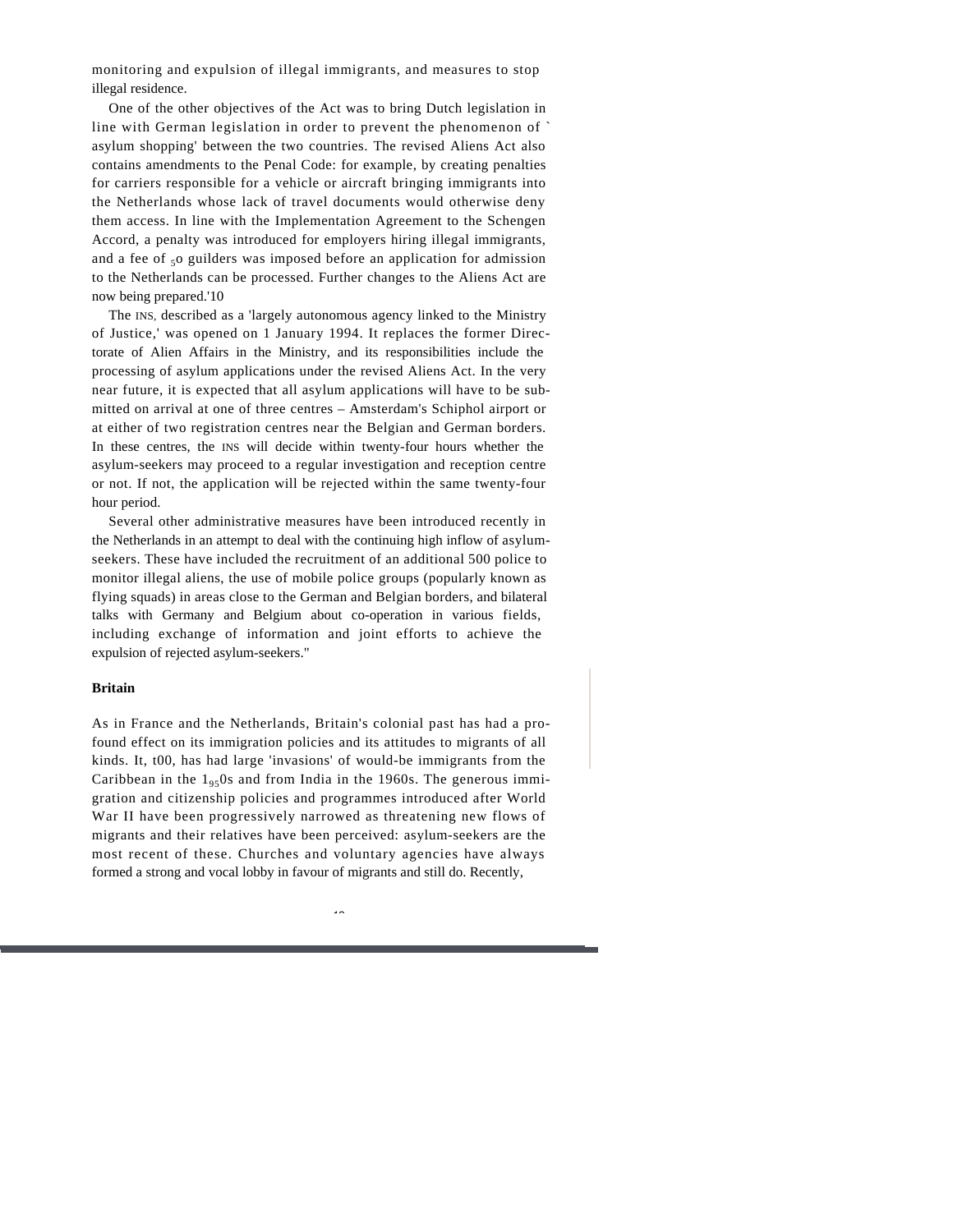monitoring and expulsion of illegal immigrants, and measures to stop illegal residence.

One of the other objectives of the Act was to bring Dutch legislation in line with German legislation in order to prevent the phenomenon of ` asylum shopping' between the two countries. The revised Aliens Act also contains amendments to the Penal Code: for example, by creating penalties for carriers responsible for a vehicle or aircraft bringing immigrants into the Netherlands whose lack of travel documents would otherwise deny them access. In line with the Implementation Agreement to the Schengen Accord, a penalty was introduced for employers hiring illegal immigrants, and a fee of  $50$  guilders was imposed before an application for admission to the Netherlands can be processed. Further changes to the Aliens Act are now being prepared.'10

The INS, described as a 'largely autonomous agency linked to the Ministry of Justice,' was opened on 1 January 1994. It replaces the former Directorate of Alien Affairs in the Ministry, and its responsibilities include the processing of asylum applications under the revised Aliens Act. In the very near future, it is expected that all asylum applications will have to be submitted on arrival at one of three centres – Amsterdam's Schiphol airport or at either of two registration centres near the Belgian and German borders. In these centres, the INS will decide within twenty-four hours whether the asylum-seekers may proceed to a regular investigation and reception centre or not. If not, the application will be rejected within the same twenty-four hour period.

Several other administrative measures have been introduced recently in the Netherlands in an attempt to deal with the continuing high inflow of asylumseekers. These have included the recruitment of an additional 500 police to monitor illegal aliens, the use of mobile police groups (popularly known as flying squads) in areas close to the German and Belgian borders, and bilateral talks with Germany and Belgium about co-operation in various fields, including exchange of information and joint efforts to achieve the expulsion of rejected asylum-seekers."

#### **Britain**

As in France and the Netherlands, Britain's colonial past has had a profound effect on its immigration policies and its attitudes to migrants of all kinds. It, t00, has had large 'invasions' of would-be immigrants from the Caribbean in the  $1_{95}$ Os and from India in the 1960s. The generous immigration and citizenship policies and programmes introduced after World War II have been progressively narrowed as threatening new flows of migrants and their relatives have been perceived: asylum-seekers are the most recent of these. Churches and voluntary agencies have always formed a strong and vocal lobby in favour of migrants and still do. Recently,

 $\overline{1}$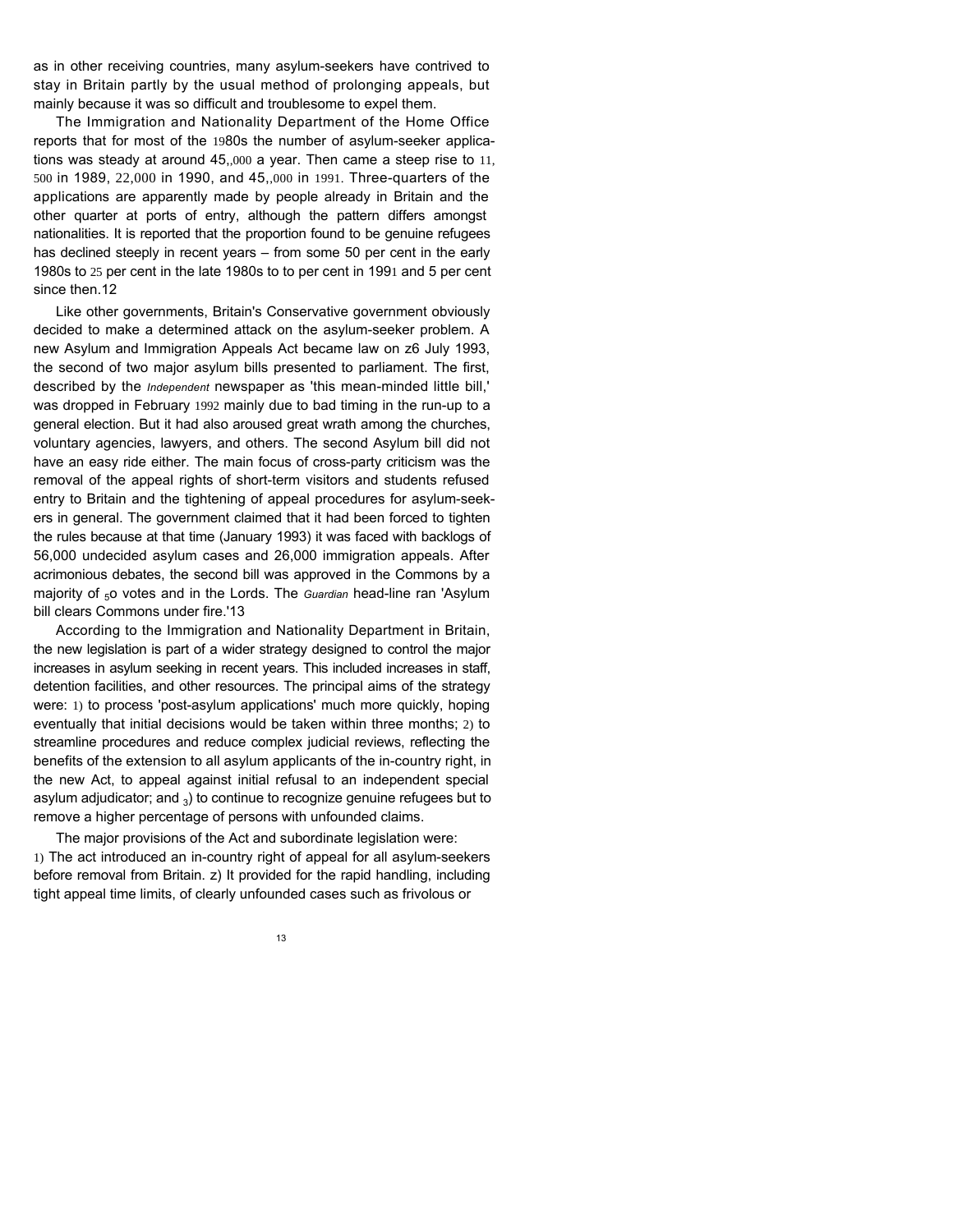as in other receiving countries, many asylum-seekers have contrived to stay in Britain partly by the usual method of prolonging appeals, but mainly because it was so difficult and troublesome to expel them.

The Immigration and Nationality Department of the Home Office reports that for most of the 1980s the number of asylum-seeker applications was steady at around 45,,000 a year. Then came a steep rise to 11, 500 in 1989, 22,000 in 1990, and 45,,000 in 1991. Three-quarters of the applications are apparently made by people already in Britain and the other quarter at ports of entry, although the pattern differs amongst nationalities. It is reported that the proportion found to be genuine refugees has declined steeply in recent years – from some 50 per cent in the early 1980s to 25 per cent in the late 1980s to to per cent in 1991 and 5 per cent since then.12

Like other governments, Britain's Conservative government obviously decided to make a determined attack on the asylum-seeker problem. A new Asylum and Immigration Appeals Act became law on z6 July 1993, the second of two major asylum bills presented to parliament. The first, described by the *Independent* newspaper as 'this mean-minded little bill,' was dropped in February 1992 mainly due to bad timing in the run-up to a general election. But it had also aroused great wrath among the churches, voluntary agencies, lawyers, and others. The second Asylum bill did not have an easy ride either. The main focus of cross-party criticism was the removal of the appeal rights of short-term visitors and students refused entry to Britain and the tightening of appeal procedures for asylum-seekers in general. The government claimed that it had been forced to tighten the rules because at that time (January 1993) it was faced with backlogs of 56,000 undecided asylum cases and 26,000 immigration appeals. After acrimonious debates, the second bill was approved in the Commons by a majority of <sub>5</sub>0 votes and in the Lords. The *Guardian* head-line ran 'Asylum bill clears Commons under fire.'13

According to the Immigration and Nationality Department in Britain, the new legislation is part of a wider strategy designed to control the major increases in asylum seeking in recent years. This included increases in staff, detention facilities, and other resources. The principal aims of the strategy were: 1) to process 'post-asylum applications' much more quickly, hoping eventually that initial decisions would be taken within three months; 2) to streamline procedures and reduce complex judicial reviews, reflecting the benefits of the extension to all asylum applicants of the in-country right, in the new Act, to appeal against initial refusal to an independent special asylum adjudicator; and  $_3$ ) to continue to recognize genuine refugees but to remove a higher percentage of persons with unfounded claims.

The major provisions of the Act and subordinate legislation were: 1) The act introduced an in-country right of appeal for all asylum-seekers before removal from Britain. z) It provided for the rapid handling, including tight appeal time limits, of clearly unfounded cases such as frivolous or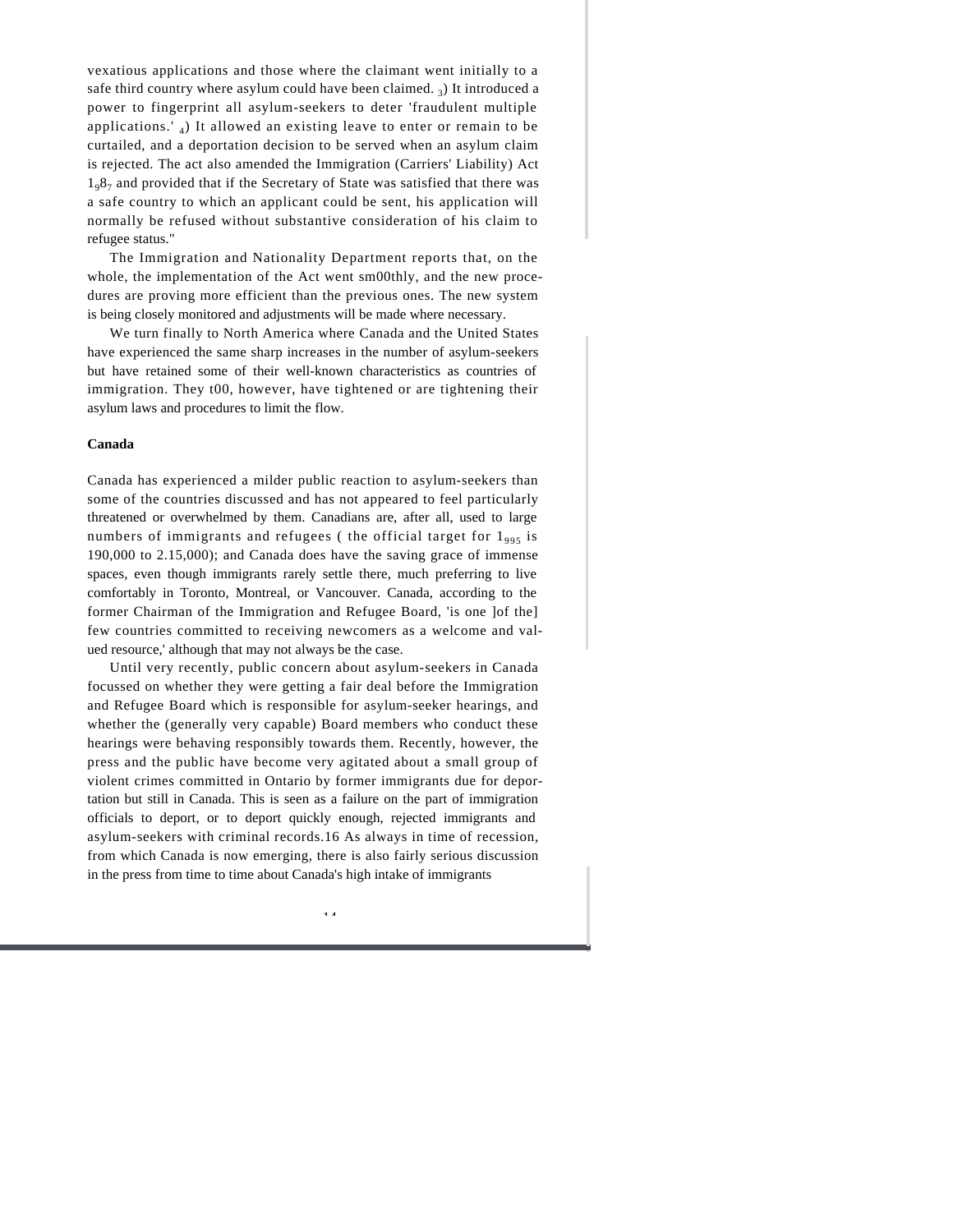vexatious applications and those where the claimant went initially to a safe third country where asylum could have been claimed.  $_3$ ) It introduced a power to fingerprint all asylum-seekers to deter 'fraudulent multiple applications.' <sup>4</sup> ) It allowed an existing leave to enter or remain to be curtailed, and a deportation decision to be served when an asylum claim is rejected. The act also amended the Immigration (Carriers' Liability) Act  $1<sub>9</sub>8<sub>7</sub>$  and provided that if the Secretary of State was satisfied that there was a safe country to which an applicant could be sent, his application will normally be refused without substantive consideration of his claim to refugee status."

The Immigration and Nationality Department reports that, on the whole, the implementation of the Act went sm00thly, and the new procedures are proving more efficient than the previous ones. The new system is being closely monitored and adjustments will be made where necessary.

We turn finally to North America where Canada and the United States have experienced the same sharp increases in the number of asylum-seekers but have retained some of their well-known characteristics as countries of immigration. They t00, however, have tightened or are tightening their asylum laws and procedures to limit the flow.

#### **Canada**

Canada has experienced a milder public reaction to asylum-seekers than some of the countries discussed and has not appeared to feel particularly threatened or overwhelmed by them. Canadians are, after all, used to large numbers of immigrants and refugees (the official target for  $1_{995}$  is 190,000 to 2.15,000); and Canada does have the saving grace of immense spaces, even though immigrants rarely settle there, much preferring to live comfortably in Toronto, Montreal, or Vancouver. Canada, according to the former Chairman of the Immigration and Refugee Board, 'is one ]of the] few countries committed to receiving newcomers as a welcome and valued resource,' although that may not always be the case.

Until very recently, public concern about asylum-seekers in Canada focussed on whether they were getting a fair deal before the Immigration and Refugee Board which is responsible for asylum-seeker hearings, and whether the (generally very capable) Board members who conduct these hearings were behaving responsibly towards them. Recently, however, the press and the public have become very agitated about a small group of violent crimes committed in Ontario by former immigrants due for deportation but still in Canada. This is seen as a failure on the part of immigration officials to deport, or to deport quickly enough, rejected immigrants and asylum-seekers with criminal records.16 As always in time of recession, from which Canada is now emerging, there is also fairly serious discussion in the press from time to time about Canada's high intake of immigrants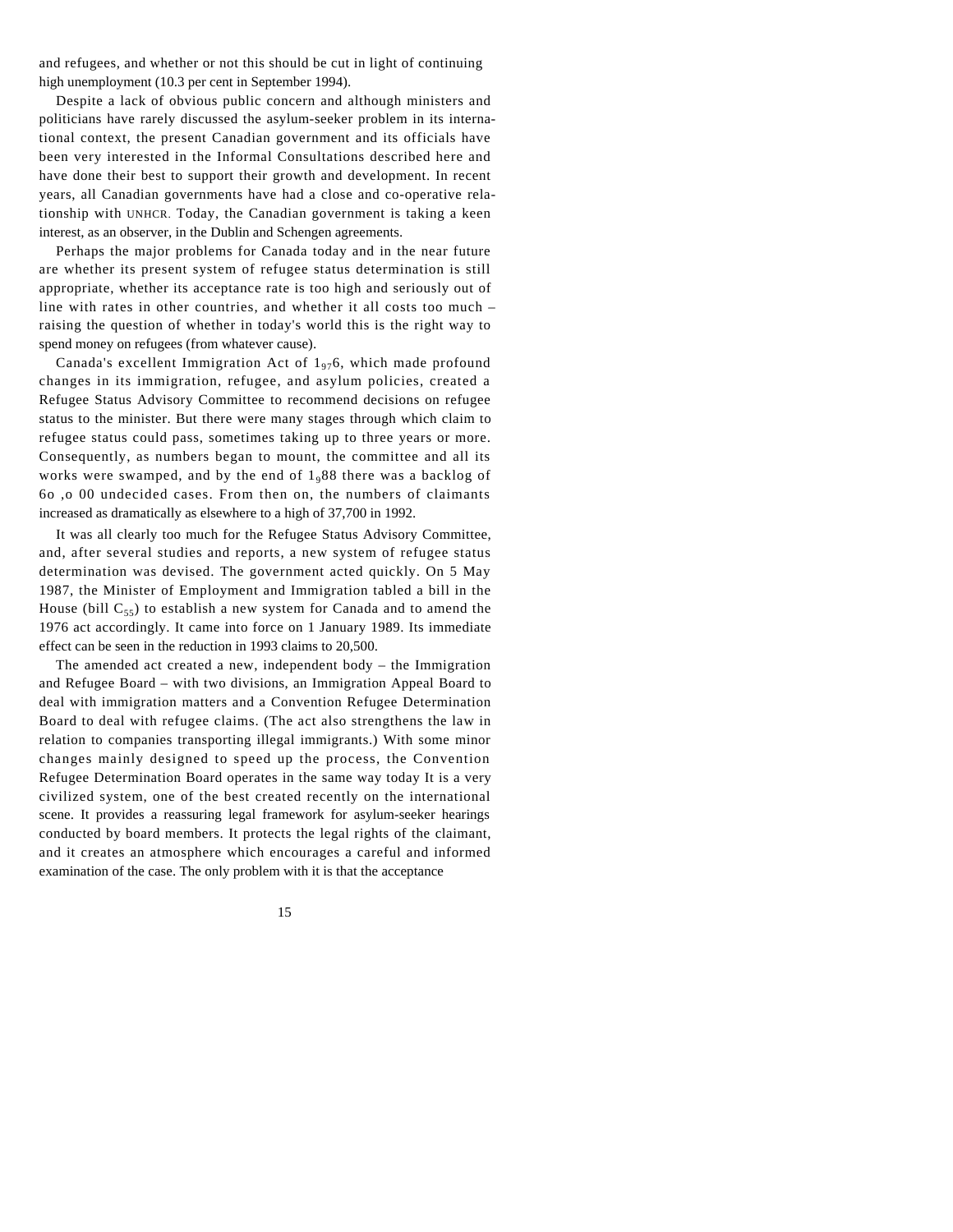and refugees, and whether or not this should be cut in light of continuing high unemployment (10.3 per cent in September 1994).

Despite a lack of obvious public concern and although ministers and politicians have rarely discussed the asylum-seeker problem in its international context, the present Canadian government and its officials have been very interested in the Informal Consultations described here and have done their best to support their growth and development. In recent years, all Canadian governments have had a close and co-operative relationship with UNHCR. Today, the Canadian government is taking a keen interest, as an observer, in the Dublin and Schengen agreements.

Perhaps the major problems for Canada today and in the near future are whether its present system of refugee status determination is still appropriate, whether its acceptance rate is too high and seriously out of line with rates in other countries, and whether it all costs too much – raising the question of whether in today's world this is the right way to spend money on refugees (from whatever cause).

Canada's excellent Immigration Act of  $1_{97}6$ , which made profound changes in its immigration, refugee, and asylum policies, created a Refugee Status Advisory Committee to recommend decisions on refugee status to the minister. But there were many stages through which claim to refugee status could pass, sometimes taking up to three years or more. Consequently, as numbers began to mount, the committee and all its works were swamped, and by the end of 1988 there was a backlog of 6o ,o 00 undecided cases. From then on, the numbers of claimants increased as dramatically as elsewhere to a high of 37,700 in 1992.

It was all clearly too much for the Refugee Status Advisory Committee, and, after several studies and reports, a new system of refugee status determination was devised. The government acted quickly. On 5 May 1987, the Minister of Employment and Immigration tabled a bill in the House (bill  $C_{55}$ ) to establish a new system for Canada and to amend the 1976 act accordingly. It came into force on 1 January 1989. Its immediate effect can be seen in the reduction in 1993 claims to 20,500.

The amended act created a new, independent body – the Immigration and Refugee Board – with two divisions, an Immigration Appeal Board to deal with immigration matters and a Convention Refugee Determination Board to deal with refugee claims. (The act also strengthens the law in relation to companies transporting illegal immigrants.) With some minor changes mainly designed to speed up the process, the Convention Refugee Determination Board operates in the same way today It is a very civilized system, one of the best created recently on the international scene. It provides a reassuring legal framework for asylum-seeker hearings conducted by board members. It protects the legal rights of the claimant, and it creates an atmosphere which encourages a careful and informed examination of the case. The only problem with it is that the acceptance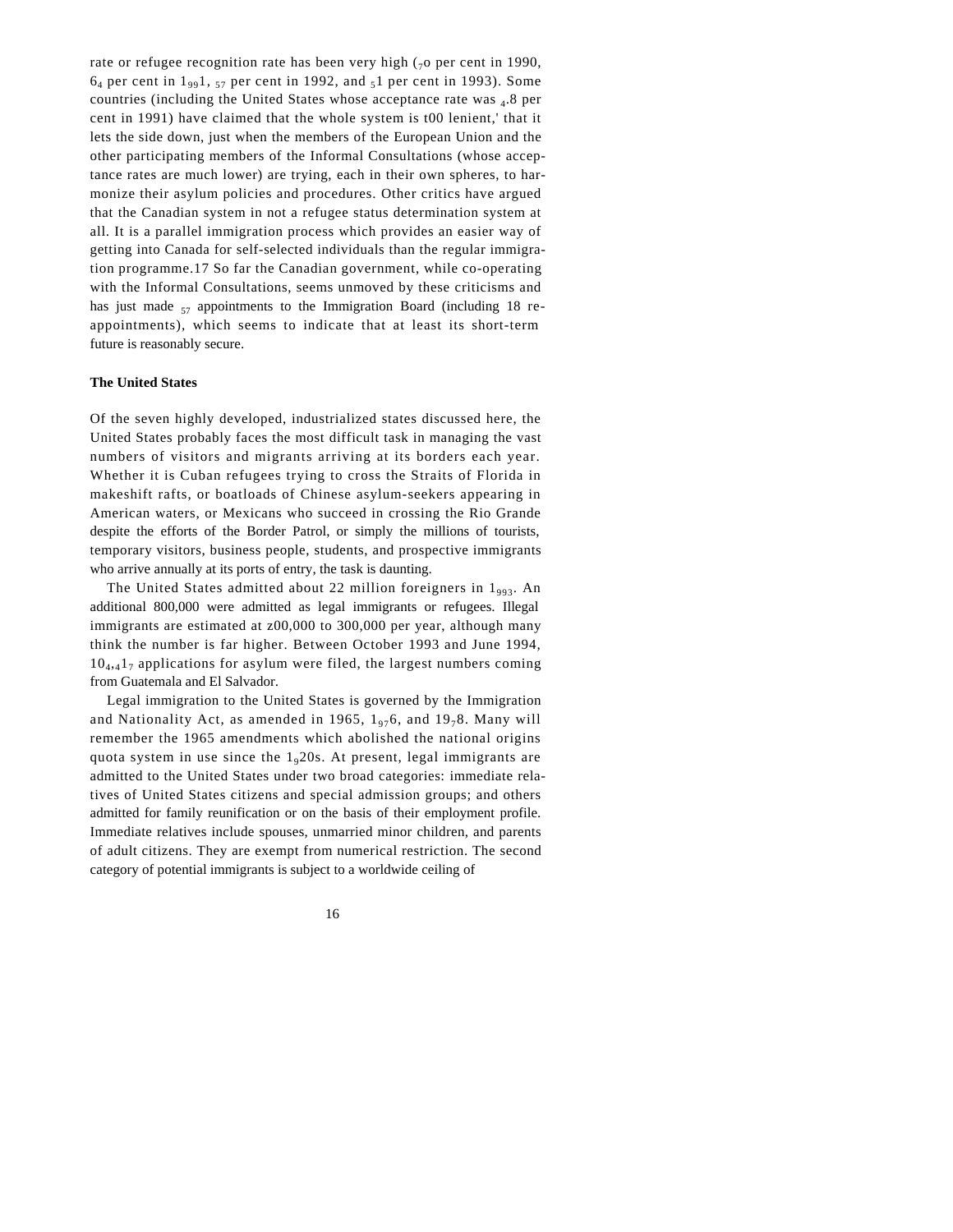rate or refugee recognition rate has been very high  $\zeta_0$  per cent in 1990,  $6_4$  per cent in  $1_{99}1$ ,  $_{57}$  per cent in 1992, and  $_{5}1$  per cent in 1993). Some countries (including the United States whose acceptance rate was 4.8 per cent in 1991) have claimed that the whole system is t00 lenient,' that it lets the side down, just when the members of the European Union and the other participating members of the Informal Consultations (whose acceptance rates are much lower) are trying, each in their own spheres, to harmonize their asylum policies and procedures. Other critics have argued that the Canadian system in not a refugee status determination system at all. It is a parallel immigration process which provides an easier way of getting into Canada for self-selected individuals than the regular immigration programme.17 So far the Canadian government, while co-operating with the Informal Consultations, seems unmoved by these criticisms and has just made  $57$  appointments to the Immigration Board (including 18 reappointments), which seems to indicate that at least its short-term future is reasonably secure.

#### **The United States**

Of the seven highly developed, industrialized states discussed here, the United States probably faces the most difficult task in managing the vast numbers of visitors and migrants arriving at its borders each year. Whether it is Cuban refugees trying to cross the Straits of Florida in makeshift rafts, or boatloads of Chinese asylum-seekers appearing in American waters, or Mexicans who succeed in crossing the Rio Grande despite the efforts of the Border Patrol, or simply the millions of tourists, temporary visitors, business people, students, and prospective immigrants who arrive annually at its ports of entry, the task is daunting.

The United States admitted about 22 million foreigners in 1993. An additional 800,000 were admitted as legal immigrants or refugees. Illegal immigrants are estimated at z00,000 to 300,000 per year, although many think the number is far higher. Between October 1993 and June 1994,  $10<sub>4,4</sub>1<sub>7</sub>$  applications for asylum were filed, the largest numbers coming from Guatemala and El Salvador.

Legal immigration to the United States is governed by the Immigration and Nationality Act, as amended in 1965,  $1_{97}6$ , and  $19_{7}8$ . Many will remember the 1965 amendments which abolished the national origins quota system in use since the  $1<sub>9</sub>20s$ . At present, legal immigrants are admitted to the United States under two broad categories: immediate relatives of United States citizens and special admission groups; and others admitted for family reunification or on the basis of their employment profile. Immediate relatives include spouses, unmarried minor children, and parents of adult citizens. They are exempt from numerical restriction. The second category of potential immigrants is subject to a worldwide ceiling of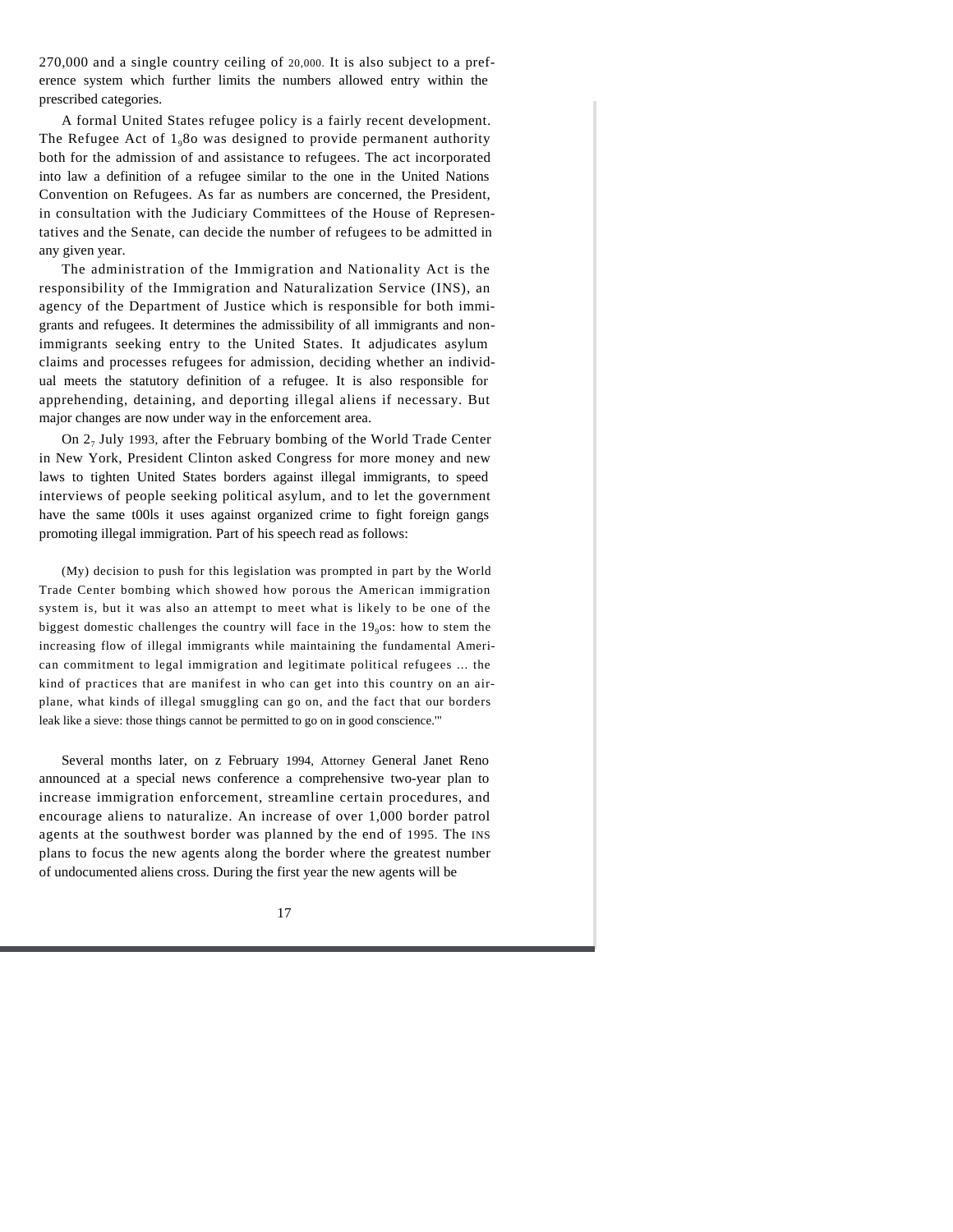270,000 and a single country ceiling of 20,000. It is also subject to a preference system which further limits the numbers allowed entry within the prescribed categories.

A formal United States refugee policy is a fairly recent development. The Refugee Act of  $1_980$  was designed to provide permanent authority both for the admission of and assistance to refugees. The act incorporated into law a definition of a refugee similar to the one in the United Nations Convention on Refugees. As far as numbers are concerned, the President, in consultation with the Judiciary Committees of the House of Representatives and the Senate, can decide the number of refugees to be admitted in any given year.

The administration of the Immigration and Nationality Act is the responsibility of the Immigration and Naturalization Service (INS), an agency of the Department of Justice which is responsible for both immigrants and refugees. It determines the admissibility of all immigrants and nonimmigrants seeking entry to the United States. It adjudicates asylum claims and processes refugees for admission, deciding whether an individual meets the statutory definition of a refugee. It is also responsible for apprehending, detaining, and deporting illegal aliens if necessary. But major changes are now under way in the enforcement area.

On 2<sub>7</sub> July 1993, after the February bombing of the World Trade Center in New York, President Clinton asked Congress for more money and new laws to tighten United States borders against illegal immigrants, to speed interviews of people seeking political asylum, and to let the government have the same t00ls it uses against organized crime to fight foreign gangs promoting illegal immigration. Part of his speech read as follows:

(My) decision to push for this legislation was prompted in part by the World Trade Center bombing which showed how porous the American immigration system is, but it was also an attempt to meet what is likely to be one of the biggest domestic challenges the country will face in the 19<sub>9</sub>os: how to stem the increasing flow of illegal immigrants while maintaining the fundamental American commitment to legal immigration and legitimate political refugees ... the kind of practices that are manifest in who can get into this country on an airplane, what kinds of illegal smuggling can go on, and the fact that our borders leak like a sieve: those things cannot be permitted to go on in good conscience.'"

Several months later, on z February 1994, Attorney General Janet Reno announced at a special news conference a comprehensive two-year plan to increase immigration enforcement, streamline certain procedures, and encourage aliens to naturalize. An increase of over 1,000 border patrol agents at the southwest border was planned by the end of 1995. The INS plans to focus the new agents along the border where the greatest number of undocumented aliens cross. During the first year the new agents will be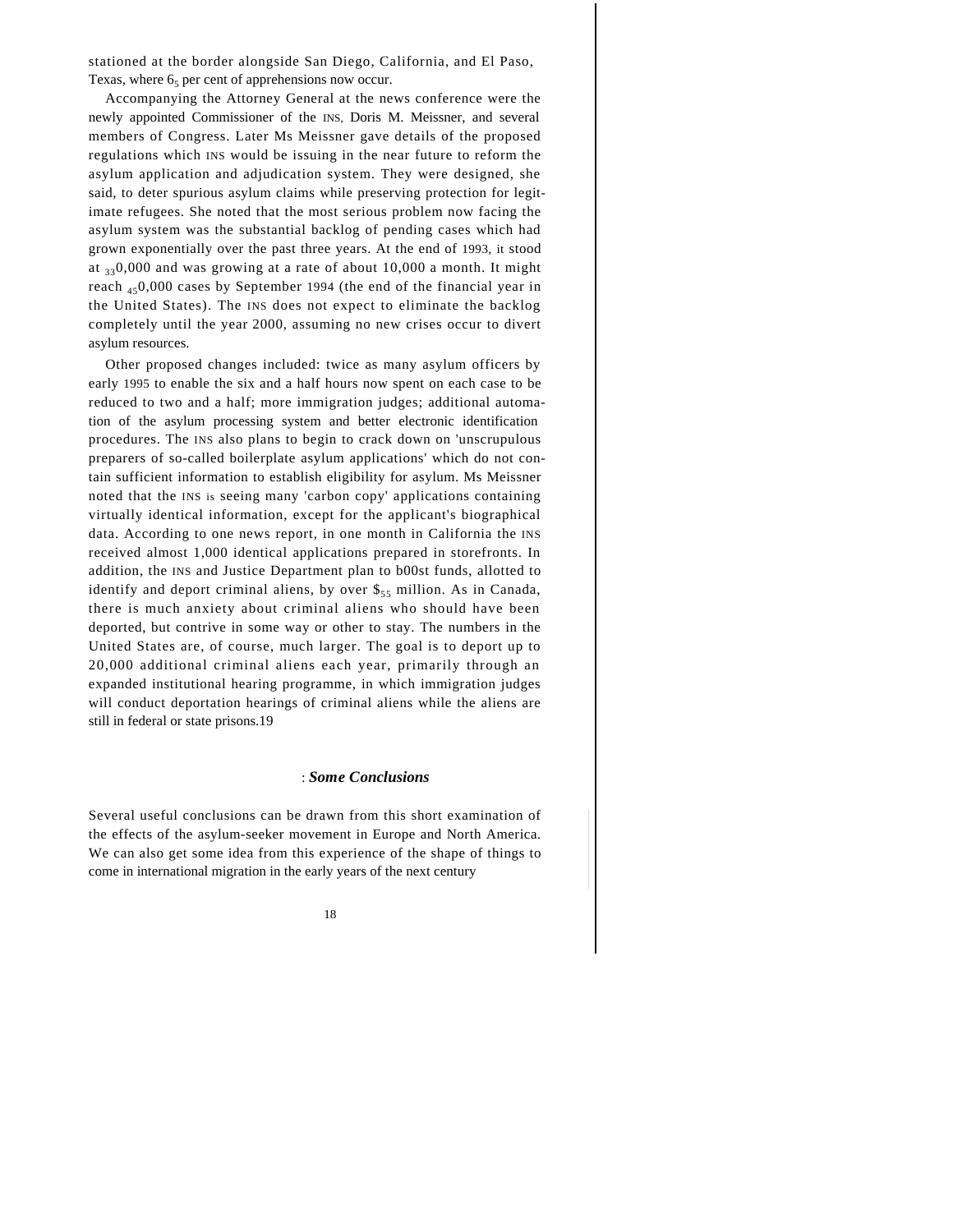stationed at the border alongside San Diego, California, and El Paso, Texas, where  $6<sub>5</sub>$  per cent of apprehensions now occur.

Accompanying the Attorney General at the news conference were the newly appointed Commissioner of the INS, Doris M. Meissner, and several members of Congress. Later Ms Meissner gave details of the proposed regulations which INS would be issuing in the near future to reform the asylum application and adjudication system. They were designed, she said, to deter spurious asylum claims while preserving protection for legitimate refugees. She noted that the most serious problem now facing the asylum system was the substantial backlog of pending cases which had grown exponentially over the past three years. At the end of 1993, it stood at  $330,000$  and was growing at a rate of about 10,000 a month. It might reach  $_{45}$ 0,000 cases by September 1994 (the end of the financial year in the United States). The INS does not expect to eliminate the backlog completely until the year 2000, assuming no new crises occur to divert asylum resources.

Other proposed changes included: twice as many asylum officers by early 1995 to enable the six and a half hours now spent on each case to be reduced to two and a half; more immigration judges; additional automation of the asylum processing system and better electronic identification procedures. The INS also plans to begin to crack down on 'unscrupulous preparers of so-called boilerplate asylum applications' which do not contain sufficient information to establish eligibility for asylum. Ms Meissner noted that the INS is seeing many 'carbon copy' applications containing virtually identical information, except for the applicant's biographical data. According to one news report, in one month in California the INS received almost 1,000 identical applications prepared in storefronts. In addition, the INS and Justice Department plan to b00st funds, allotted to identify and deport criminal aliens, by over  $\frac{1}{55}$  million. As in Canada, there is much anxiety about criminal aliens who should have been deported, but contrive in some way or other to stay. The numbers in the United States are, of course, much larger. The goal is to deport up to 20,000 additional criminal aliens each year, primarily through an expanded institutional hearing programme, in which immigration judges will conduct deportation hearings of criminal aliens while the aliens are still in federal or state prisons.19

#### : *Some Conclusions*

Several useful conclusions can be drawn from this short examination of the effects of the asylum-seeker movement in Europe and North America. We can also get some idea from this experience of the shape of things to come in international migration in the early years of the next century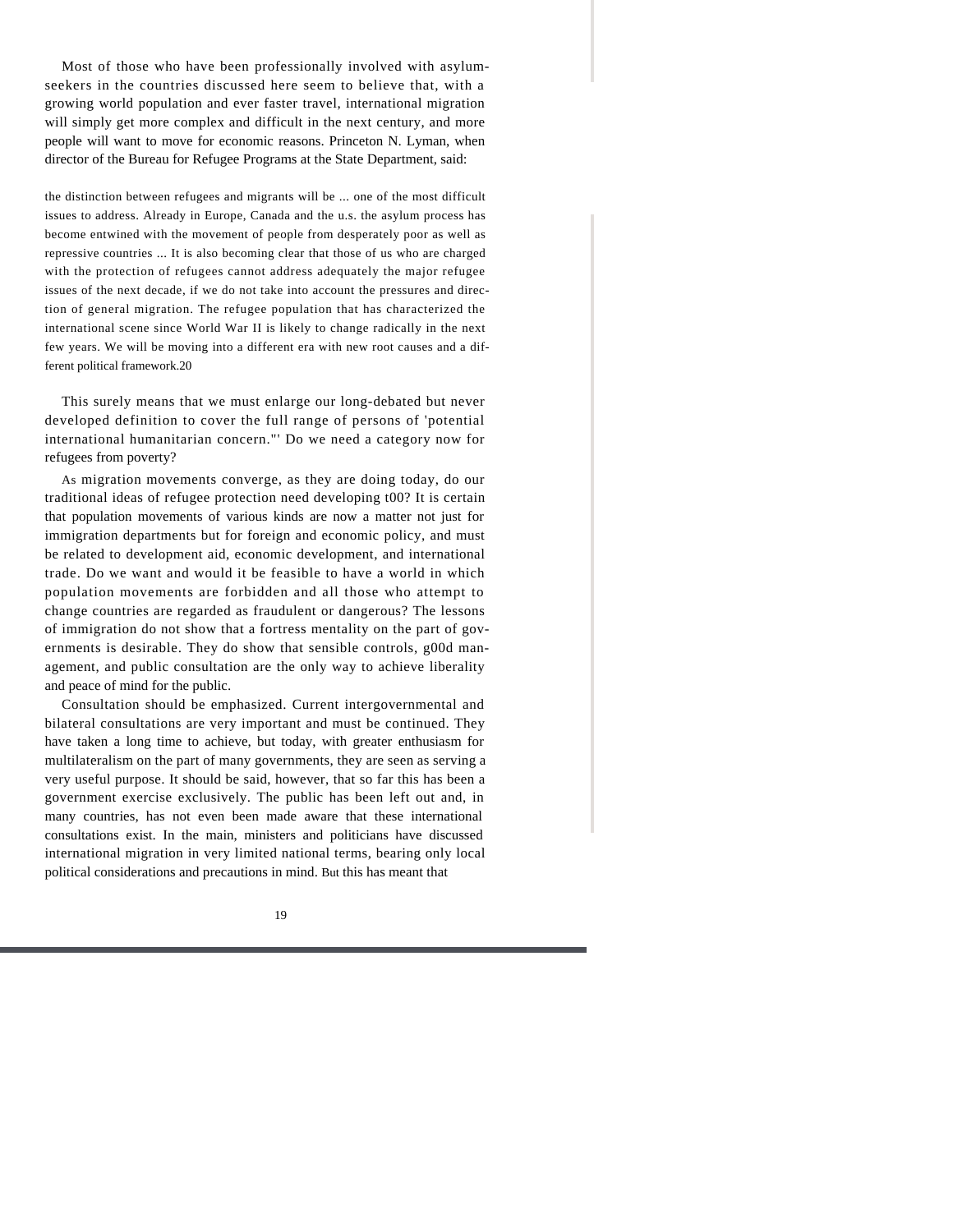Most of those who have been professionally involved with asylumseekers in the countries discussed here seem to believe that, with a growing world population and ever faster travel, international migration will simply get more complex and difficult in the next century, and more people will want to move for economic reasons. Princeton N. Lyman, when director of the Bureau for Refugee Programs at the State Department, said:

the distinction between refugees and migrants will be ... one of the most difficult issues to address. Already in Europe, Canada and the u.s. the asylum process has become entwined with the movement of people from desperately poor as well as repressive countries ... It is also becoming clear that those of us who are charged with the protection of refugees cannot address adequately the major refugee issues of the next decade, if we do not take into account the pressures and direction of general migration. The refugee population that has characterized the international scene since World War II is likely to change radically in the next few years. We will be moving into a different era with new root causes and a different political framework.20

This surely means that we must enlarge our long-debated but never developed definition to cover the full range of persons of 'potential international humanitarian concern."' Do we need a category now for refugees from poverty?

As migration movements converge, as they are doing today, do our traditional ideas of refugee protection need developing t00? It is certain that population movements of various kinds are now a matter not just for immigration departments but for foreign and economic policy, and must be related to development aid, economic development, and international trade. Do we want and would it be feasible to have a world in which population movements are forbidden and all those who attempt to change countries are regarded as fraudulent or dangerous? The lessons of immigration do not show that a fortress mentality on the part of governments is desirable. They do show that sensible controls, g00d management, and public consultation are the only way to achieve liberality and peace of mind for the public.

Consultation should be emphasized. Current intergovernmental and bilateral consultations are very important and must be continued. They have taken a long time to achieve, but today, with greater enthusiasm for multilateralism on the part of many governments, they are seen as serving a very useful purpose. It should be said, however, that so far this has been a government exercise exclusively. The public has been left out and, in many countries, has not even been made aware that these international consultations exist. In the main, ministers and politicians have discussed international migration in very limited national terms, bearing only local political considerations and precautions in mind. But this has meant that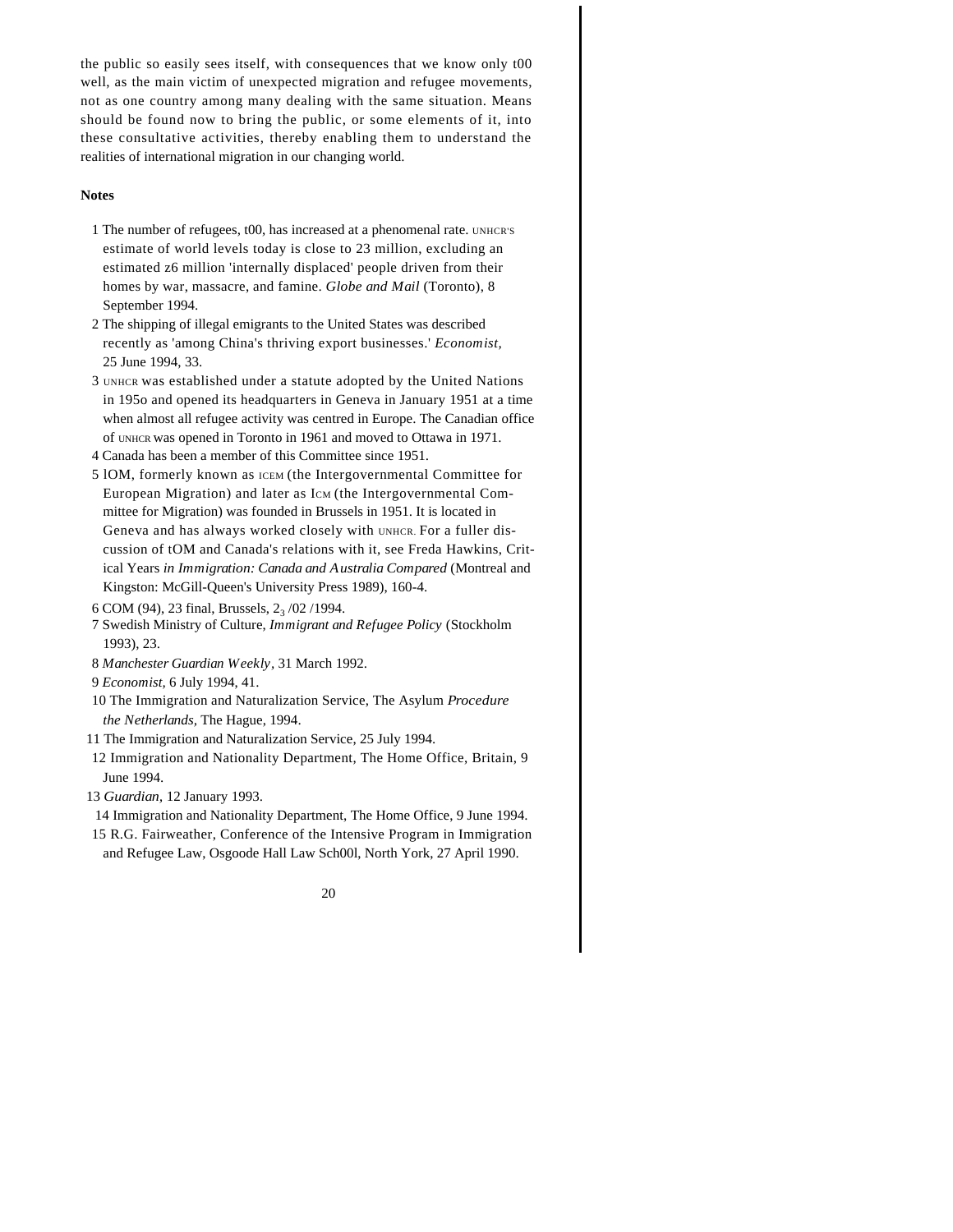the public so easily sees itself, with consequences that we know only t00 well, as the main victim of unexpected migration and refugee movements, not as one country among many dealing with the same situation. Means should be found now to bring the public, or some elements of it, into these consultative activities, thereby enabling them to understand the realities of international migration in our changing world.

#### **Notes**

- 1 The number of refugees, t00, has increased at a phenomenal rate. UNHCR'S estimate of world levels today is close to 23 million, excluding an estimated z6 million 'internally displaced' people driven from their homes by war, massacre, and famine. *Globe and Mail* (Toronto), 8 September 1994.
- 2 The shipping of illegal emigrants to the United States was described recently as 'among China's thriving export businesses.' *Economist,*  25 June 1994, 33.
- 3 UNHCR was established under a statute adopted by the United Nations in 195o and opened its headquarters in Geneva in January 1951 at a time when almost all refugee activity was centred in Europe. The Canadian office of UNHCR was opened in Toronto in 1961 and moved to Ottawa in 1971.
- 4 Canada has been a member of this Committee since 1951.
- 5 lOM, formerly known as ICEM (the Intergovernmental Committee for European Migration) and later as ICM (the Intergovernmental Committee for Migration) was founded in Brussels in 1951. It is located in Geneva and has always worked closely with UNHCR. For a fuller discussion of tOM and Canada's relations with it, see Freda Hawkins, Critical Years *in Immigration: Canada and Australia Compared* (Montreal and Kingston: McGill-Queen's University Press 1989), 160-4.
- 6 COM (94), 23 final, Brussels,  $2_3/02/1994$ .
- 7 Swedish Ministry of Culture, *Immigrant and Refugee Policy* (Stockholm 1993), 23.
- 8 *Manchester Guardian Weekly,* 31 March 1992.
- 9 *Economist,* 6 July 1994, 41.
- 10 The Immigration and Naturalization Service, The Asylum *Procedure the Netherlands,* The Hague, 1994.
- 11 The Immigration and Naturalization Service, 25 July 1994.
- 12 Immigration and Nationality Department, The Home Office, Britain, 9 June 1994.
- 13 *Guardian,* 12 January 1993.
	- 14 Immigration and Nationality Department, The Home Office, 9 June 1994.
- 15 R.G. Fairweather, Conference of the Intensive Program in Immigration and Refugee Law, Osgoode Hall Law Sch00l, North York, 27 April 1990.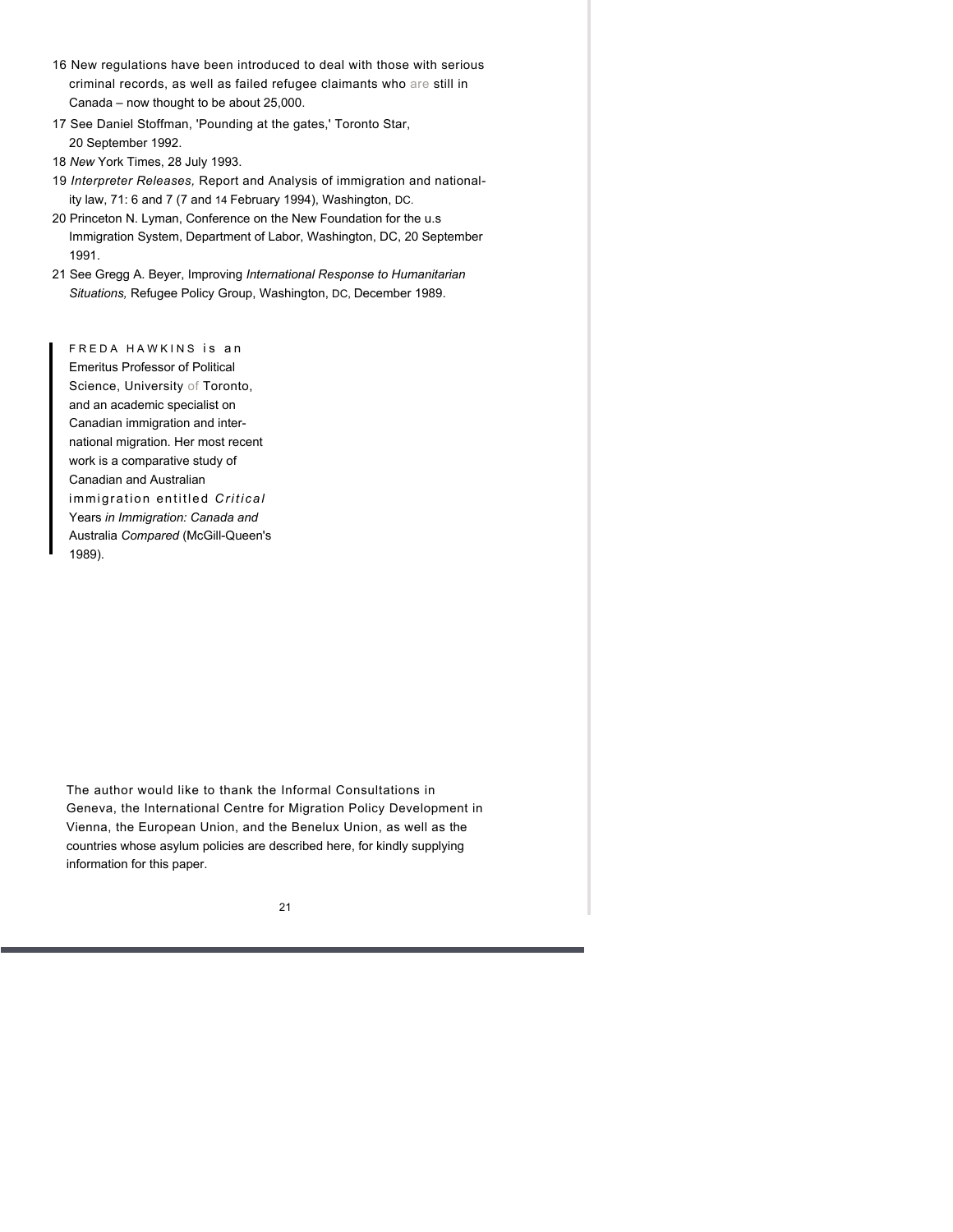- 16 New regulations have been introduced to deal with those with serious criminal records, as well as failed refugee claimants who are still in Canada – now thought to be about 25,000.
- 17 See Daniel Stoffman, 'Pounding at the gates,' Toronto Star, 20 September 1992.
- 18 *New* York Times, 28 July 1993.
- 19 *Interpreter Releases,* Report and Analysis of immigration and nationality law, 71: 6 and 7 (7 and 14 February 1994), Washington, DC.
- 20 Princeton N. Lyman, Conference on the New Foundation for the u.s Immigration System, Department of Labor, Washington, DC, 20 September 1991.
- 21 See Gregg A. Beyer, Improving *International Response to Humanitarian Situations,* Refugee Policy Group, Washington, DC, December 1989.

FREDA HAWKINS is an Emeritus Professor of Political Science, University of Toronto, and an academic specialist on Canadian immigration and international migration. Her most recent work is a comparative study of Canadian and Australian immigration entitled *Critical*  Years *in Immigration: Canada and*  Australia *Compared* (McGill-Queen's 1989).

The author would like to thank the Informal Consultations in Geneva, the International Centre for Migration Policy Development in Vienna, the European Union, and the Benelux Union, as well as the countries whose asylum policies are described here, for kindly supplying information for this paper.